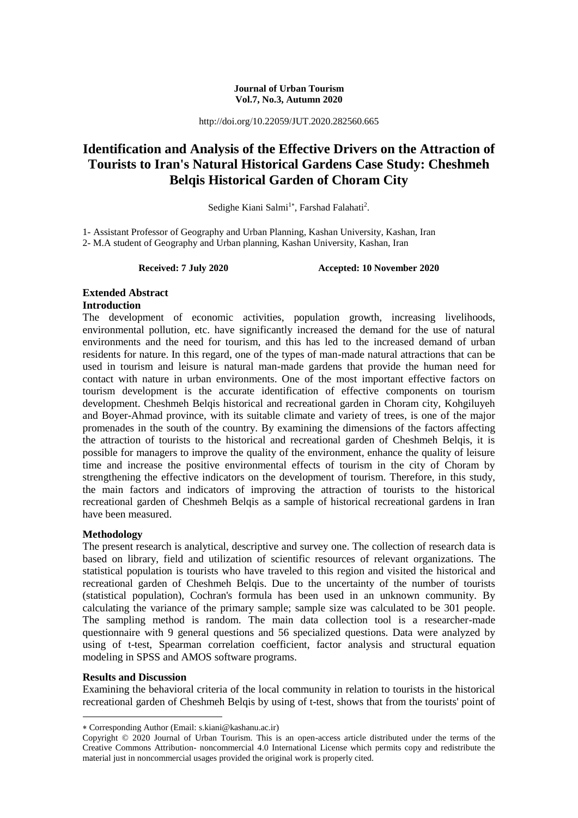#### **Journal of Urban Tourism Vol.7, No.3, Autumn 2020**

http://doi.org/10.22059/JUT.2020.282560.665

# **Identification and Analysis of the Effective Drivers on the Attraction of Tourists to Iran's Natural Historical Gardens Case Study: Cheshmeh Belqis Historical Garden of Choram City**

Sedighe Kiani Salmi<sup>1\*</sup>, Farshad Falahati<sup>2</sup>.

1- Assistant Professor of Geography and Urban Planning, Kashan University, Kashan, Iran 2- M.A student of Geography and Urban planning, Kashan University, Kashan, Iran

**Received: 7 July 2020 Accepted: 10 November 2020**

## **Extended Abstract Introduction**

The development of economic activities, population growth, increasing livelihoods, environmental pollution, etc. have significantly increased the demand for the use of natural environments and the need for tourism, and this has led to the increased demand of urban residents for nature. In this regard, one of the types of man-made natural attractions that can be used in tourism and leisure is natural man-made gardens that provide the human need for contact with nature in urban environments. One of the most important effective factors on tourism development is the accurate identification of effective components on tourism development. Cheshmeh Belqis historical and recreational garden in Choram city, Kohgiluyeh and Boyer-Ahmad province, with its suitable climate and variety of trees, is one of the major promenades in the south of the country. By examining the dimensions of the factors affecting the attraction of tourists to the historical and recreational garden of Cheshmeh Belqis, it is possible for managers to improve the quality of the environment, enhance the quality of leisure time and increase the positive environmental effects of tourism in the city of Choram by strengthening the effective indicators on the development of tourism. Therefore, in this study, the main factors and indicators of improving the attraction of tourists to the historical recreational garden of Cheshmeh Belqis as a sample of historical recreational gardens in Iran have been measured.

## **Methodology**

The present research is analytical, descriptive and survey one. The collection of research data is based on library, field and utilization of scientific resources of relevant organizations. The statistical population is tourists who have traveled to this region and visited the historical and recreational garden of Cheshmeh Belqis. Due to the uncertainty of the number of tourists (statistical population), Cochran's formula has been used in an unknown community. By calculating the variance of the primary sample; sample size was calculated to be 301 people. The sampling method is random. The main data collection tool is a researcher-made questionnaire with 9 general questions and 56 specialized questions. Data were analyzed by using of t-test, Spearman correlation coefficient, factor analysis and structural equation modeling in SPSS and AMOS software programs.

## **Results and Discussion**

1

Examining the behavioral criteria of the local community in relation to tourists in the historical recreational garden of Cheshmeh Belqis by using of t-test, shows that from the tourists' point of

Corresponding Author (Email: s.kiani@kashanu.ac.ir)

Copyright © 2020 Journal of Urban Tourism. This is an open-access article distributed under the terms of the Creative Commons Attribution- noncommercial 4.0 International License which permits copy and redistribute the material just in noncommercial usages provided the original work is properly cited.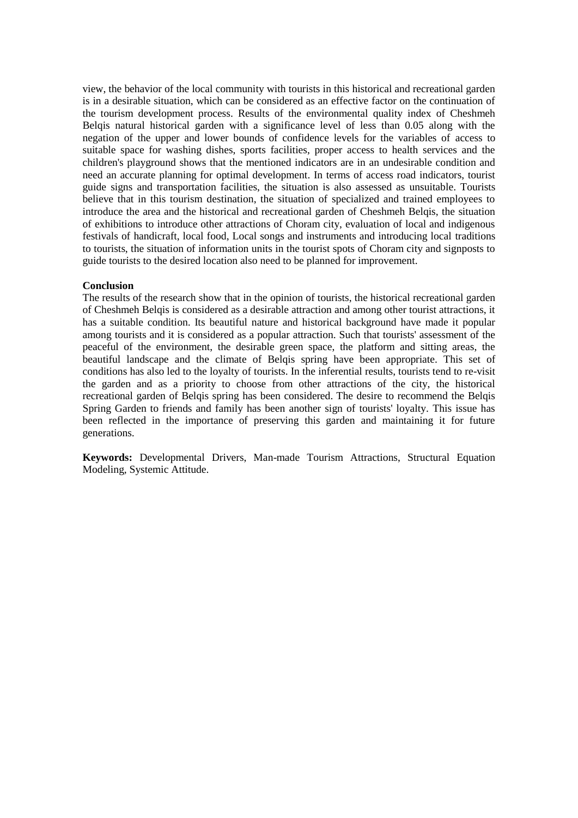view, the behavior of the local community with tourists in this historical and recreational garden is in a desirable situation, which can be considered as an effective factor on the continuation of the tourism development process. Results of the environmental quality index of Cheshmeh Belqis natural historical garden with a significance level of less than 0.05 along with the negation of the upper and lower bounds of confidence levels for the variables of access to suitable space for washing dishes, sports facilities, proper access to health services and the children's playground shows that the mentioned indicators are in an undesirable condition and need an accurate planning for optimal development. In terms of access road indicators, tourist guide signs and transportation facilities, the situation is also assessed as unsuitable. Tourists believe that in this tourism destination, the situation of specialized and trained employees to introduce the area and the historical and recreational garden of Cheshmeh Belqis, the situation of exhibitions to introduce other attractions of Choram city, evaluation of local and indigenous festivals of handicraft, local food, Local songs and instruments and introducing local traditions to tourists, the situation of information units in the tourist spots of Choram city and signposts to guide tourists to the desired location also need to be planned for improvement.

#### **Conclusion**

The results of the research show that in the opinion of tourists, the historical recreational garden of Cheshmeh Belqis is considered as a desirable attraction and among other tourist attractions, it has a suitable condition. Its beautiful nature and historical background have made it popular among tourists and it is considered as a popular attraction. Such that tourists' assessment of the peaceful of the environment, the desirable green space, the platform and sitting areas, the beautiful landscape and the climate of Belqis spring have been appropriate. This set of conditions has also led to the loyalty of tourists. In the inferential results, tourists tend to re-visit the garden and as a priority to choose from other attractions of the city, the historical recreational garden of Belqis spring has been considered. The desire to recommend the Belqis Spring Garden to friends and family has been another sign of tourists' loyalty. This issue has been reflected in the importance of preserving this garden and maintaining it for future generations.

**Keywords:** Developmental Drivers, Man-made Tourism Attractions, Structural Equation Modeling, Systemic Attitude.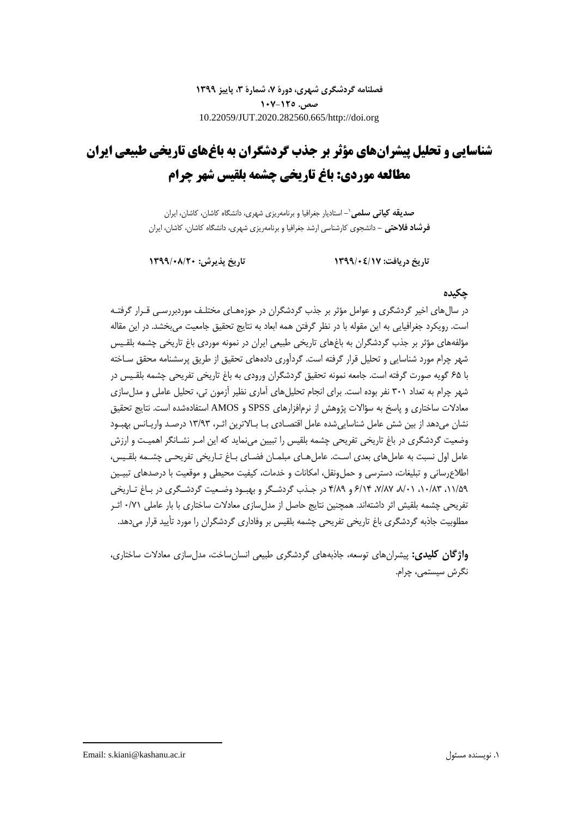**فصلنامه گردشگری شهری، دورۀ ،7 شمارۀ ،3 پاییز 1399 صص. 107-125** 10.22059/JUT.2020.282560.665/http://doi.org

# **شناسایی و تحلیل پیشرانهای مؤثر بر جذب گردشگران به باغهای تاریخی طبیعی ایران مطالعه موردی: باغ تاریخی چشمه بلقیس شهر چرام**

**-** استادیار جغرافیا و برنامهریزی شهری، دانشگاه کاشان، کاشان، ایران **صدیقه کیانی سلمی**<sup>1</sup> **فرشاد فالحتی -** دانشجوی کارشناسی ارشد جغرافیا و برنامهریزی شهری، دانشگاه کاشان، کاشان، ایران

**تاریخ دریافت: 1399/04/17 تاریخ پذیرش: 1399/08/20**

## **چکیده**

در سالهای اخیر گردشگری و عوامل مؤثر بر جذب گردشگران در حوزههـای مختلـف موردبررسـی قـرار گرفتـه است. رویکرد جغرافیایی به این مقوله با در نظر گرفتن همه ابعاد به نتایج تحقیق جامعیت میبخشد. در این مقاله مؤلفههای مؤثر بر جذب گردشگران به باغهای تاریخی طبیعی ایران در نمونه موردی باغ تاریخی چشمه بلقـیس شهر چرام مورد شناسایی و تحلیل قرار گرفته است. گردآوری دادههای تحقیق از طریق پرسشنامه محقق سـاخته با 65 گویه صورت گرفته است. جامعه نمونه تحقیق گردشگران ورودی به باغ تاریخی تفریحی چشمه بلقـیس در شهر چرام به تعداد 301 نفر بوده است. برای انجام تحلیلهای آماری نظیر آزمون تی، تحلیل عاملی و مدلسازی معادلات ساختاری و پاسخ به سؤالات پژوهش از نرمافزارهای SPSS و AMOS استفادهشده است. نتایج تحقیق نشان میدهد از بین شش عامل شناساییشده عامل اقتصـادی بـا بـاالترین اثـر، 13/93 درصـد واریـانس بهبـود وضعیت گردشگری در باغ تاریخی تفریحی چشمه بلقیس را تبیین مینماید که این امـر نشـانگر اهمیـت و ارزش عامل اول نسبت به عاملهای بعدی اسـت. عاملهـای مبلمـان فضـای بـاغ تـاریخی تفریحـی چشـمه بلقـیس، اطالعرسانی و تبلیغات، دسترسی و حملونقل، امکانات و خدمات، کیفیت محیطی و موقعیت با درصدهای تبیـین ،11/59 ،10/83 ،8/01 ،7/87 6/14 و 4/89 در جـذب گردشـگر و بهبـود وضـعیت گردشـگری در بـاغ تـاریخی تفریحی چشمه بلقیش اثر داشتهاند. همچنین نتایج حاصل از مدلسازی معادالت ساختاری با بار عاملی 0/71 اثـر مطلوبیت جاذبه گردشگری باغ تاریخی تفریحی چشمه بلقیس بر وفاداری گردشگران را مورد تأیید قرار میدهد.

**واژگان کلیدی:** پیشرانهای توسعه، جاذبههای گردشگری طبیعی انسانساخت، مدلسازی معادالت ساختاری، نگرش سیستمی، چرام.

1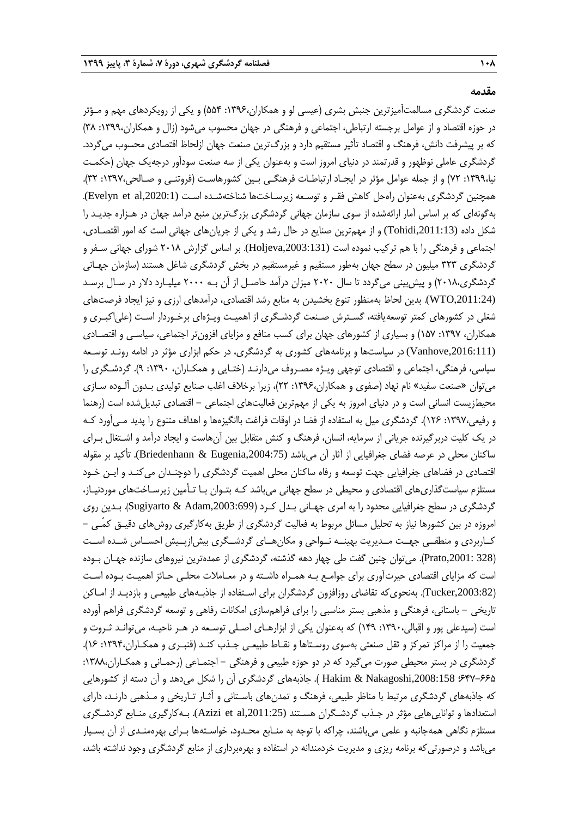**مقدمه**

صنعت گردشگری مسالمتآمیزترین جنبش بشری (عیسی لو و همکاران،۱۳۹۶: ۵۵۴) و یکی از رویکردهای مهم و مـؤثر در حوزه اقتصاد و از عوامل برجسته ارتباطی، اجتماعی و فرهنگی در جهان محسوب میشود )زال و همکاران:1399، 38( که بر پیشرفت دانش، فرهنگ و اقتصاد تأثیر مستقیم دارد و بزرگترین صنعت جهان ازلحاظ اقتصادی محسوب میگردد. گردشگری عاملی نوظهور و قدرتمند در دنیای امروز است و بهعنوان یکی از سه صنعت سودآور درجهیک جهان )حکمـت نیا:1399، 72( و از جمله عوامل مؤثر در ایجـاد ارتباطـات فرهنگـی بـین کشورهاسـت )فروتنـی و صـالحی:1397، 32(. همچنین گردشگری بهعنوان راهحل کاهش فقـر و توسـعه زیرسـاختها شناختهشـده اسـت (Evelyn et al,2020:1). بهگونهای که بر اساس آمار ارائهشده از سوی سازمان جهانی گردشگری بزررترین منبع درآمد جهان در هـزاره جدیـد را شکل داده (,2011:13Tohidi (و از مهمترین صنایع در حال رشد و یکی از جریانهای جهانی است که امور اقتصـادی، اجتماعی و فرهنگی را با هم ترکیب نموده است (Holjeva,2003:131). بر اساس گزارش ۲۰۱۸ شورای جهانی سـفر و گردشگری 323 میلیون در سطح جهان بهطور مستقیم و غیرمستقیم در بخش گردشگری شاغل هستند )سازمان جهـانی گردشگری،۲۰۱۸) و پیش بینی میگردد تا سال ۲۰۲۰ میزان درآمد حاصـل از آن بـه ۲۰۰۰ میلیـارد دلار در سـال برسـد (WTO,2011:24). بدین لحاظ بهمنظور تنوع بخشیدن به منابع رشد اقتصادی، درآمدهای ارزی و نیز ایجاد فرصتهای شغلی در کشورهای کمتر توسعهیافته، گسـترش صـنعت گردشـگری از اهمیـت ویـژهای برخـوردار اسـت )علیاکبـری و همکاران، :1397 157( و بسیاری از کشورهای جهان برای کسب منافع و مزایای افزونتر اجتماعی، سیاسـی و اقتصـادی (,2016:111Vanhove (در سیاستها و برنامههای کشوری به گردشگری، در حکم ابزاری مؤثر در ادامه رونـد توسـعه سیاسی، فرهنگی، اجتماعی و اقتصادی توجهی ویـژه مصـروف میدارنـد )ختـایی و همکـاران، :1390 9(. گردشـگری را میتوان »صنعت سفید« نام نهاد )صفوی و همکاران:1396، 22(، زیرا برخالف اغلب صنایع تولیدی بـدون آلـوده سـازی محیطزیست انسانی است و در دنیای امروز به یکی از مهمترین فعالیتهای اجتماعی – اقتصادی تبدیل شده است (رهنما و رفیعی:1397، 126(. گردشگری میل به استفاده از فضا در اوقات فراغت باانگیزهها و اهداف متنوع را پدید مـیآورد کـه در یک کلیت دربرگیرنده جریانی از سرمایه، انسان، فرهنگ و کنش متقابل بین آنهاست و ایجاد درآمد و اشـتغال بـرای ساکنان محلی در عرصه فضای جغرافیایی از آثار آن میباشد (Briedenhann & Eugenia,2004:75). تأکید بر مقوله اقتصادی در فضاهای جغرافیایی جهت توسعه و رفاه ساکنان محلی اهمیت گردشگری را دوچنـدان میکنـد و ایـن خـود مستلزم سیاستگذاریهای اقتصادی و محیطی در سطح جهانی میباشد کـه بتـوان بـا تـأمین زیرسـاختهای موردنیـاز، گردشگری در سطح جغرافیایی محدود را به امری جهـانی بـدل كـرد (Sugiyarto & Adam,2003:699). بـدین روی امروزه در بین کشورها نیاز به تحلیل مسائل مربوط به فعالیت گردشگری از طریق بهکارگیری روشهای دقیـق کمّـی - کــاربردی و منطقــی جهــت مــدیریت بهینــه نــواحی و مکانهــای گردشــگری بیشازپــیش احســاس شــده اســت )328 ,2001:Prato). میتوان چنین گفت طی چهار دهه گذشته، گردشگری از عمدهترین نیروهای سازنده جهـان بـوده است که مزایای اقتصادی حیرتآوری برای جوامـع بـه همـراه داشـته و در معـامالت محلـی حـائز اهمیـت بـوده اسـت ),2003:82Tucker). بهنحویکه تقاضای روزافزون گردشگران برای اسـتفاده از جاذبـههای طبیعـی و بازدیـد از امـاکن تاریخی - باستانی، فرهنگی و مذهبی بستر مناسبی را برای فراهمسازی امکانات رفاهی و توسعه گردشگری فراهم آورده است )سیدعلی پور و اقبالی:1390، 149( که بهعنوان یکی از ابزارهـای اصـلی توسـعه در هـر ناحیـه، میتوانـد ثـروت و جمعیت را از مراکز تمرکز و ثقل صنعتی بهسوی روسـتاها و نقـاط طبیعـی جـذب کنـد )قنبـری و همکـاران:1394، 16(. گردشگری در بستر محیطی صورت میگیرد که در دو حوزه طبیعی و فرهنگی – اجتمـاعی (رحمـانی و همکـاران،۱۳۸۸: 647-665؛ ,2008:158Nakagoshi & Hakim) . جاذبههای گردشگری آن را شکل میدهد و آن دسته از کشورهایی که جاذبههای گردشگری مرتبط با مناظر طبیعی، فرهنگ و تمدنهای باسـتانی و آثـار تـاریخی و مـذهبی دارنـد، دارای استعدادها و تواناییهایی مؤثر در جـذب گردشـگران هسـتند (,2011:25al et Azizi(. بـهکارگیری منـابع گردشـگری مستلزم نگاهی همهجانبه و علمی میباشند، چراکه با توجه به منـابع محـدود، خواسـتهها بـرای بهرهمنـدی از آن بسـیار میباشد و درصورتیکه برنامه ریزی و مدیریت خردمندانه در استفاده و بهرهبرداری از منابع گردشگری وجود نداشته باشد،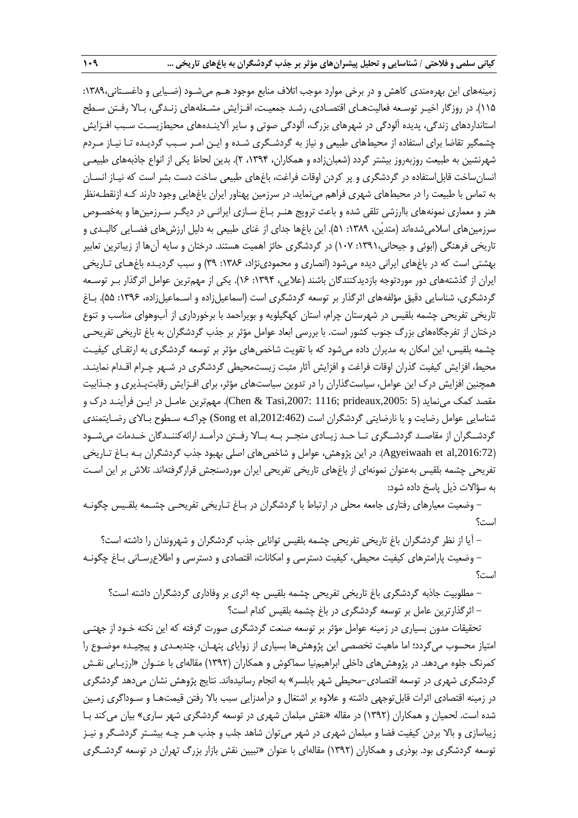زمینههای این بهرهمندی کاهش و در برخی موارد موجب اتالف منابع موجود هـم میشـود )ضـیایی و داغسـتانی:1389، 115(. در روزگار اخیـر توسـعه فعالیتهـای اقتصـادی، رشـد جمعیـت، افـزایش مشـغلههای زنـدگی، بـاال رفـتن سـطح استانداردهای زندگی، پدیده آلودگی در شهرهای بزرگ، آلودگی صوتی و سایر آلاینـدههای محیطزیسـت سـبب افـزایش چشمگیر تقاضا برای استفاده از محیطهای طبیعی و نیاز به گردشـگری شـده و ایـن امـر سـبب گردیـده تـا نیـاز مـردم شهرنشین به طبیعت روزبهروز بیشتر گردد (شعبانزاده و همکاران، ۱۳۹۴، ۲). بدین لحاظ یکی از انواع جاذبههای طبیعـی انسانساخت قابل|ستفاده در گردشگری و پر کردن اوقات فراغت، باغهای طبیعی ساخت دست بشر است که نیـاز انسـان به تماس با طبیعت را در محیطهای شهری فراهم مینماید. در سرزمین پهناور ایران باغهایی وجود دارند کـه ازنقطـهنظر هنر و معماری نمونههای باارزشی تلقی شده و باعث ترویج هنـر بـاغ سـازی ایرانـی در دیگـر سـرزمینها و بهخصـوص سرزمینهای اسلامیشدهاند (متدیّن، ١٣٨٩: ۵١). این باغها جدای از غنای طبیعی به دلیل ارزشهای فضـایی کالبـدی و تاریخی فرهنگی (ابوئی و جیحانی،۱۳۹۱: ۱۰۷) در گردشگری حائز اهمیت هستند. درختان و سایه آنها از زیباترین تعابیر بهشتی است که در باغهای ایرانی دیده میشود )انصاری و محمودینژاد، :1386 39( و سبب گردیـده باغهـای تـاریخی ایران از گذشتههای دور موردتوجه بازدیدکنندگان باشند (علایی، ۱۳۹۴: ۱۶). یکی از مهمترین عوامل اثرگذار بـر توسـعه گردشگری، شناسایی دقیق مؤلفههای اثرگذار بر توسعه گردشگری است (اسماعیلزاده و اسـماعیلزاده، ۱۳۹۶: ۵۵). بـاغ تاریخی تفریحی چشمه بلقیس در شهرستان چرام، استان کهگیلویه و بویراحمد با برخورداری از آبوهوای مناسب و تنوع درختان از تفرجگاههای بزرر جنوب کشور است. با بررسی ابعاد عوامل مؤثر بر جذب گردشگران به باغ تاریخی تفریحـی چشمه بلقیس، این امکان به مدیران داده میشود که با تقویت شاخصهای مؤثر بر توسعه گردشگری به ارتقـای کیفیـت محیط، افزایش کیفیت گذران اوقات فراغت و افزایش آثار مثبت زیستمحیطی گردشگری در شـهر چـرام اقـدام نماینـد. همچنین افزایش درك این عوامل، سیاستگذاران را در تدوین سیاستهای مؤثر، برای افـزایش رقابتپـذیری و جـذابیت مقصد کمک مینماید )5 ,2005:prideaux; 1116 ,2007:Tasi & Chen). مهمترین عامـل در ایـن فرآینـد درك و شناسایی عوامل رضایت و یا نارضایتی گردشگران است (Song et al,2012:462) چراکـه سـطوح بـالای رضـایتمندی گردشــگران از مقاصــد گردشــگری تــا حــد زیــادی منجــر بــه بــاال رفــتن درآمــد ارائهکننــدگان خــدمات میشــود ),2016:72al et Agyeiwaah). در این پژوهش، عوامل و شاخصهای اصلی بهبود جذب گردشگران بـه بـاغ تـاریخی تفریحی چشمه بلقیس بهعنوان نمونهای از باغهای تاریخی تفریحی ایران موردسنجش قرارگرفتهاند. تالش بر این اسـت به سؤالات ذیل پاسخ داده شود:

- وضعیت معیارهای رفتاری جامعه محلی در ارتباط با گردشگران در بـاغ تـاریخی تفریحـی چشـمه بلقـیس چگونـه است؟

- آیا از نظر گردشگران باغ تاریخی تفریحی چشمه بلقیس توانایی جذب گردشگران و شهروندان را داشته است؟ - وضعیت پارامترهای کیفیت محیطی، کیفیت دسترسی و امکانات، اقتصادی و دسترسی و اطالعرسـانی بـاغ چگونـه است؟

- مطلوبیت جاذبه گردشگری باغ تاریخی تفریحی چشمه بلقیس چه اثری بر وفاداری گردشگران داشته است؟

- اثرگذارترین عامل بر توسعه گردشگری در باغ چشمه بلقیس کدام است؟

تحقیقات مدون بسیاری در زمینه عوامل مؤثر بر توسعه صنعت گردشگری صورت گرفته که این نکته خـود از جهتـی امتیاز محسوب میگردد؛ اما ماهیت تخصصی این پژوهشها بسیاری از زوایای پنهـان، چندبعـدی و پیچیـده موضـوع را کمرنگ جلوه میدهد. در پژوهشهای داخلی ابراهیمنیا سماکوش و همکاران )1392( مقالهای با عنـوان »ارزیـابی نقـش گردشگری شهری در توسعه اقتصادی-محیطی شهر بابلسر« به انجام رسانیدهاند. نتایج پژوهش نشان میدهد گردشگری در زمینه اقتصادی اثرات قابلتوجهی داشته و عالوه بر اشتغال و درآمدزایی سبب باال رفتن قیمتهـا و سـوداگری زمـین شده است. لحمیان و همکاران )1392( در مقاله »نقش مبلمان شهری در توسعه گردشگری شهر ساری« بیان میکند بـا زیباسازی و باال بردن کیفیت فضا و مبلمان شهری در شهر میتوان شاهد جلب و جذب هـر چـه بیشـتر گردشـگر و نیـز توسعه گردشگری بود. بوذری و همکاران (۱۳۹۲) مقالهای با عنوان «تبیین نقش بازار بزرگ تهران در توسعه گردشـگری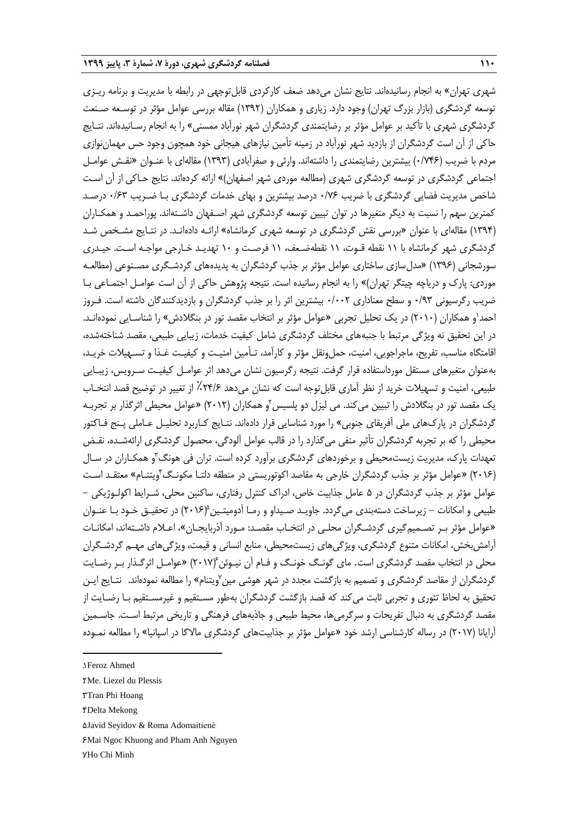شهری تهران» به انجام رسانیدهاند. نتایج نشان میدهد ضعف کارکردی قابلتوجهی در رابطه با مدیریت و برنامه ریـزی توسعه گردشگری (بازار بزرگ تهران) وجود دارد. زیاری و همکاران (۱۳۹۲) مقاله بررسی عوامل مؤثر در توسـعه صـنعت گردشگری شهری با تأکید بر عوامل مؤثر بر رضایتمندی گردشگران شهر نورآباد ممسنی« را به انجام رسـانیدهاند. نتـایج حاکی از آن است گردشگران از بازدید شهر نورآباد در زمینه تأمین نیازهای هیجانی خود همچون وجود حس مهماننوازی مردم با ضریب )0/746( بیشترین رضایتمندی را داشتهاند. وارثی و صفرآبادی )1393( مقالهای با عنـوان »نقـش عوامـل اجتماعی گردشگری در توسعه گردشگری شهری (مطالعه موردی شهر اصفهان)» ارائه کردهاند. نتایج حـاکی از آن اسـت شاخص مدیریت فضایی گردشگری با ضریب 0/76 درصد بیشترین و بهای خدمات گردشگری بـا ضـریب 0/63 درصـد کمترین سهم را نسبت به دیگر متغیرها در توان تبیین توسعه گردشگری شهر اصـفهان داشـتهاند. پوراحمـد و همکـاران )1394( مقالهای با عنوان »بررسی نقش گردشگری در توسعه شهری کرمانشاه« ارائـه دادهانـد. در نتـایج مشـخص شـد گردشگری شهر کرمانشاه با 11 نقطه قـوت، 11 نقطهضـعف، 11 فرصـت و 10 تهدیـد خـارجی مواجـه اسـت. حیـدری سورشجانی (۱۳۹۶) «مدل سازی ساختاری عوامل مؤثر بر جذب گردشگران به پدیدههای گردشـگری مصـنوعی (مطالعـه موردی: پارک و دریاچه چیتگر تهران)» را به انجام رسانیده است. نتیجه پژوهش حاکی از آن است عوامـل اجتمـاعی بـا ضریب رگرسیونی 0/93 و سطح معناداری 0/002 بیشترین اثر را بر جذب گردشگران و بازدیدکنندگان داشته است. فـروز 'حمد'و همکاران (۲۰۱۰) در یک تحلیل تجربی «عوامل مؤثر بر انتخاب مقصد تور در بنگلادش» را شناسـایی نمودهانـد. در این تحقیق نه ویژگی مرتبط با جنبههای مختلف گردشگری شامل کیفیت خدمات، زیبایی طبیعی، مقصد شناختهشده، اقامتگاه مناسب، تفریح، ماجراجویی، امنیت، حملونقل مؤثر و کارآمد، تـأمین امنیـت و کیفیـت غـذا و تسـهیالت خریـد، بهعنوان متغیرهای مستقل مورداستفاده قرار گرفت. نتیجه رگرسیون نشان میدهد اثر عوامـل کیفیـت سـرویس، زیبـایی طبیعی، امنیت و تسهیالت خرید از نظر آماری قابلتوجه است که نشان میدهد ٪24/6 از تغییر در توضیح قصد انتخـاب یک مقصد تور در بنگلادش را تبیین میکند. می لیزل دو پلسیس'و همکاران (۲۰۱۲) «عوامل محیطی اثرگذار بر تجربـه گردشگران در پاركهای ملی آفریقای جنوبی« را مورد شناسایی قرار دادهاند. نتـایج کـاربرد تحلیـل عـاملی پـنج فـاکتور محیطی را که بر تجربه گردشگران تأثیر منفی میگذارد را در قالب عوامل آلودگی، محصول گردشگری ارائهشـده، نقـض تعهدات پارک، مدیریت زیستمحیطی و برخوردهای گردشگری برآورد کرده است. تران فی هونگ ّو همکـاران در سـال (۲۰۱۶) «عوامل مؤثر بر جذب گردشگران خارجی به مقاصد اکوتوریستی در منطقه دلتـا مکونـگ'ویتنـام» معتقـد اسـت عوامل مؤثر بر جذب گردشگران در ۵ عامل جذابیت خاص، ادراک کنترل رفتاری، ساکنین محلی، شـرایط اکولـوژیکی – 5 طبیعی و امکانات - زیرساخت دستهبندی میگردد. جاویـد صـیداو و رمـا آدومیتـین )2016( در تحقیـق خـود بـا عنـوان »عوامل مؤثر بـر تصـمیمگیری گردشـگران محلـی در انتخـاب مقصـد: مـورد آذربایجـان«، اعـالم داشـتهاند، امکانـات آرامشبخش، امکانات متنوع گردشگری، ویژگیهای زیستمحیطی، منابع انسانی و قیمت، ویژگیهای مهـم گردشـگران 6 محلی در انتخاب مقصد گردشگری است. مای گونـگ خونـگ و فـام آن نیـوئن )2017( »عوامـل اثرگـذار بـر رضـایت گردشگران از مقاصد گردشگری و تصمیم به بازگشت مجدد در شهر هوشی مین<sup>۷</sup>ویتنام» را مطالعه نمودهاند. نتـایج ایــن تحقیق به لحاظ تئوری و تجربی ثابت میکند که قصد بازگشت گردشگران بهطور مسـتقیم و غیرمسـتقیم بـا رضـایت از مقصد گردشگری به دنبال تفریحات و سرگرمیها، محیط طبیعی و جاذبههای فرهنگی و تاریخی مرتبط اسـت. جاسـمین آرایانا )2017( در رساله کارشناسی ارشد خود »عوامل مؤثر بر جذابیتهای گردشگری ماالگا در اسپانیا« را مطالعه نمـوده

1

<sup>1</sup>. Feroz Ahmed

<sup>2</sup>. Me. Liezel du Plessis

<sup>3</sup>. Tran Phi Hoang

<sup>4</sup>. Delta Mekong

<sup>5</sup>. Javid Seyidov & Roma Adomaitienė

<sup>6</sup>. Mai Ngoc Khuong and Pham Anh Nguyen

YHo Chi Minh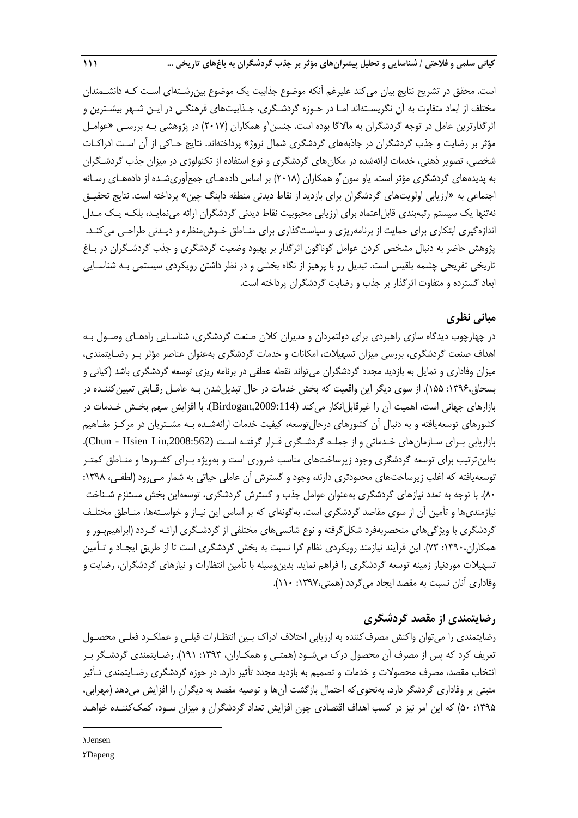است. محقق در تشریح نتایج بیان میکند علیرغم آنکه موضوع جذابیت یک موضوع بینرشـتهای اسـت کـه دانشـمندان مختلف از ابعاد متفاوت به آن نگریسـتهاند امـا در حـوزه گردشـگری، جـذابیتهای فرهنگـی در ایـن شـهر بیشـترین و ّثرگذارترین عامل در توجه گردشگران به مالاگا بوده است. جنسن`و همکاران (۲۰۱۷) در پژوهشی بـه بررسـی «عوامـل مؤثر بر رضایت و جذب گردشگران در جاذبههای گردشگری شمال نروژ« پرداختهاند. نتایج حـاکی از آن اسـت ادراکـات شخصی، تصویر ذهنی، خدمات ارائهشده در مکانهای گردشگری و نوع استفاده از تکنولوژی در میزان جذب گردشـگران به پدیدههای گردشگری مؤثر است. یاو سون ٔو همکاران (۲۰۱۸) بر اساس دادههـای جمعآوریشـده از دادههـای رسـانه اجتماعی به »ارزیابی اولویتهای گردشگران برای بازدید از نقاط دیدنی منطقه داپنگ چین« پرداخته است. نتایج تحقیـق نهتنها یک سیستم رتبهبندی قابلاعتماد برای ارزیابی محبوبیت نقاط دیدنی گردشگران ارائه مینمایـد، بلکـه یـک مـدل اندازهگیری ابتکاری برای حمایت از برنامهریزی و سیاستگذاری برای منـاطق خـوشمنظره و دیـدنی طراحـی میکنـد. پژوهش حاضر به دنبال مشخص کردن عوامل گوناگون اثرگذار بر بهبود وضعیت گردشگری و جذب گردشـگران در بـاغ تاریخی تفریحی چشمه بلقیس است. تبدیل رو با پرهیز از نگاه بخشی و در نظر داشتن رویکردی سیستمی بـه شناسـایی ابعاد گسترده و متفاوت اثرگذار بر جذب و رضایت گردشگران پرداخته است.

# **مبانی نظری**

در چهارچوب دیدگاه سازی راهبردی برای دولتمردان و مدیران کالن صنعت گردشگری، شناسـایی راههـای وصـول بـه اهداف صنعت گردشگری، بررسی میزان تسهیالت، امکانات و خدمات گردشگری بهعنوان عناصر مؤثر بـر رضـایتمندی، میزان وفاداری و تمایل به بازدید مجدد گردشگران میتواند نقطه عطفی در برنامه ریزی توسعه گردشگری باشد )کیانی و بسحاق:1396، 155(. از سوی دیگر این واقعیت که بخش خدمات در حال تبدیلشدن بـه عامـل رقـابتی تعیینکننـده در بازارهای جهانی است، اهمیت آن را غیرقابل|نکار میکند (Birdogan,2009:114). با افزایش سهم بخـش خـدمات در کشورهای توسعهیافته و به دنبال آن کشورهای درحالتوسعه، کیفیت خدمات ارائهشـده بـه مشـتریان در مرکـز مفـاهیم بازاریابی بـرای سـازمانهای خـدماتی و از جملـه گردشـگری قـرار گرفتـه اسـت (Chun - Hsien Liu,2008:562). بهاینترتیب برای توسعه گردشگری وجود زیرساختهای مناسب ضروری است و بهویژه بـرای کشـورها و منـاطق کمتـر توسعهیافته که اغلب زیرساختهای محدودتری دارند، وجود و گسترش آن عاملی حیاتی به شمار مـیرود (لطفـی، ۱۳۹۸: 80(. با توجه به تعدد نیازهای گردشگری بهعنوان عوامل جذب و گسترش گردشگری، توسعهاین بخش مستلزم شـناخت نیازمندیها و تأمین آن از سوی مقاصد گردشگری است. بهگونهای که بر اساس این نیـاز و خواسـتهها، منـاطق مختلـف گردشگری با ویژگیهای منحصربهفرد شکلگرفته و نوع شانسیهای مختلفی از گردشـگری ارائـه گـردد )ابراهیمپـور و همکاران:1390، 73(. این فرآیند نیازمند رویکردی نظام گرا نسبت به بخش گردشگری است تا از طریق ایجـاد و تـأمین تسهیالت موردنیاز زمینه توسعه گردشگری را فراهم نماید. بدینوسیله با تأمین انتظارات و نیازهای گردشگران، رضایت و وفاداری آنان نسبت به مقصد ایجاد میگردد )همتی:1397، 110(.

## **رضایتمندی از مقصد گردشگری**

رضایتمندی را میتوان واکنش مصرفکننده به ارزیابی اختالف ادراك بـین انتظـارات قبلـی و عملکـرد فعلـی محصـول تعریف کرد که پس از مصرف آن محصول درك میشـود )همتـی و همکـاران، :1393 191(. رضـایتمندی گردشـگر بـر انتخاب مقصد، مصرف محصوالت و خدمات و تصمیم به بازدید مجدد تأثیر دارد. در حوزه گردشگری رضـایتمندی تـأثیر مثبتی بر وفاداری گردشگر دارد، بهنحویکه احتمال بازگشت آنها و توصیه مقصد به دیگران را افزایش میدهد )مهرابی، :1395 50( که این امر نیز در کسب اهداف اقتصادی چون افزایش تعداد گردشگران و میزان سـود، کمککننـده خواهـد

1. Jensen 2. Dapeng

**.**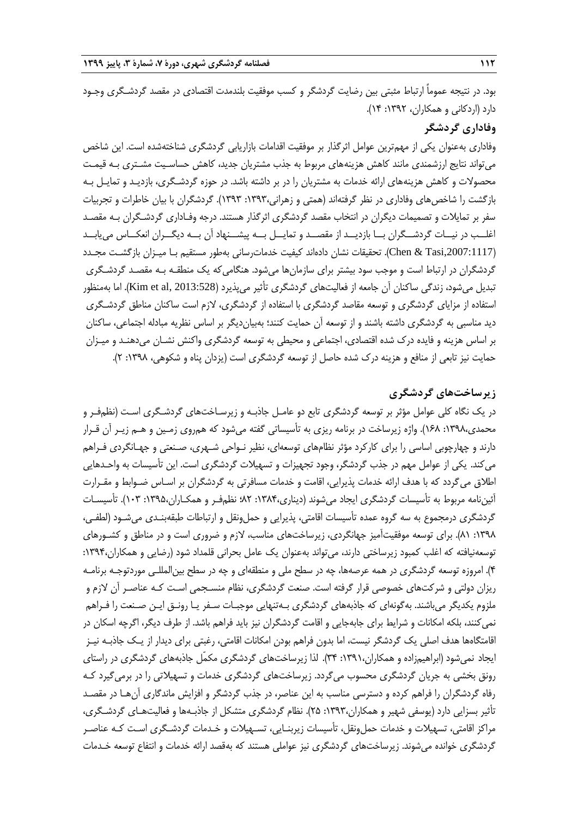بود. در نتیجه عموماً ارتباط مثبتی بین رضایت گردشگر و کسب موفقیت بلندمدت اقتصادی در مقصد گردشـگری وجـود دارد (اردکانی و همکاران، ۱۳۹۲: ۱۴).

## **وفاداری گردشگر**

وفاداری بهعنوان یکی از مهمترین عوامل اثرگذار بر موفقیت اقدامات بازاریابی گردشگری شناختهشده است. این شاخص میتواند نتایج ارزشمندی مانند کاهش هزینههای مربوط به جذب مشتریان جدید، کاهش حساسـیت مشـتری بـه قیمـت محصوالت و کاهش هزینههای ارائه خدمات به مشتریان را در بر داشته باشد. در حوزه گردشـگری، بازدیـد و تمایـل بـه بازگشت را شاخصهای وفاداری در نظر گرفتهاند )همتی و زهرانی:1393، 1393(. گردشگران با بیان خاطرات و تجربیات سفر بر تمایالت و تصمیمات دیگران در انتخاب مقصد گردشگری اثرگذار هستند. درجه وفـاداری گردشـگران بـه مقصـد اغلــب در نیــات گردشــگران بــا بازدیــد از مقصــد و تمایــل بــه پیشــنهاد آن بــه دیگــران انعکــاس مییابــد ),2007:1117Tasi & Chen). تحقیقات نشان دادهاند کیفیت خدماترسانی بهطور مستقیم بـا میـزان بازگشـت مجـدد گردشگران در ارتباط است و موجب سود بیشتر برای سازمانها میشود. هنگامیکه یک منطقـه بـه مقصـد گردشـگری تبدیل میشود، زندگی ساکنان آن جامعه از فعالیتهای گردشگری تأثیر میپذیرد (2013:528 Kim et al, 2013). اما بهمنظور استفاده از مزایای گردشگری و توسعه مقاصد گردشگری با استفاده از گردشگری، الزم است ساکنان مناطق گردشـگری دید مناسبی به گردشگری داشته باشند و از توسعه آن حمایت کنند؛ بهبیاندیگر بر اساس نظریه مبادله اجتماعی، ساکنان بر اساس هزینه و فایده درك شده اقتصادی، اجتماعی و محیطی به توسعه گردشگری واکنش نشـان میدهنـد و میـزان حمایت نیز تابعی از منافع و هزینه درک شده حاصل از توسعه گردشگری است (یزدان پناه و شکوهی، ۱۳۹۸: ۲).

## **زیرساختهای گردشگری**

در یک نگاه کلی عوامل مؤثر بر توسعه گردشگری تابع دو عامـل جاذبـه و زیرسـاختهای گردشـگری اسـت )نظمفـر و محمدی:1398، 168(. واژه زیرساخت در برنامه ریزی به تأسیساتی گفته میشود که همروی زمـین و هـم زیـر آن قـرار دارند و چهارچوبی اساسی را برای کارکرد مؤثر نظامهای توسعهای، نظیر نـواحی شـهری، صـنعتی و جهـانگردی فـراهم میکند. یکی از عوامل مهم در جذب گردشگر، وجود تجهیزات و تسهیالت گردشگری است. این تأسیسات به واحـدهایی اطلاق میگردد که با هدف ارائه خدمات پذیرایی، اقامت و خدمات مسافرتی به گردشگران بر اسـاس ضـوابط و مقـرارت آئیننامه مربوط به تأسیسات گردشگری ایجاد میشوند )دیناری:1384، 82؛ نظمفـر و همکـاران:1395، 103(. تأسیسـات گردشگری درمجموع به سه گروه عمده تأسیسات اقامتی، پذیرایی و حملونقل و ارتباطات طبقهبنـدی میشـود )لطفـی، :1398 81(. برای توسعه موفقیتآمیز جهانگردی، زیرساختهای مناسب، الزم و ضروری است و در مناطق و کشـورهای توسعهنیافته که اغلب کمبود زیرساختی دارند، میتواند بهعنوان یک عامل بحرانی قلمداد شود )رضایی و همکاران:1394، 4(. امروزه توسعه گردشگری در همه عرصهها، چه در سطح ملی و منطقهای و چه در سطح بینالمللـی موردتوجـه برنامـه ریزان دولتی و شرکتهای خصوصی قرار گرفته است. صنعت گردشگری، نظام منسـجمی اسـت کـه عناصـر آن الزم و ملزوم یکدیگر میباشند. بهگونهای که جاذبههای گردشگری بـهتنهایی موجبـات سـفر یـا رونـق ایـن صـنعت را فـراهم نمی کنند، بلکه امکانات و شرایط برای جابهجایی و اقامت گردشگران نیز باید فراهم باشد. از طرف دیگر، اگرچه اسکان در اقامتگاهها هدف اصلی یک گردشگر نیست، اما بدون فراهم بودن امکانات اقامتی، رغبتی برای دیدار از یـک جاذبـه نیـز ایجاد نمیشود )ابراهیمزاده و همکاران:1391، 34(. لذا زیرساختهای گردشگری مکمّل جاذبههای گردشگری در راستای رونق بخشی به جریان گردشگری محسوب میگردد. زیرساختهای گردشگری خدمات و تسهیالتی را در برمیگیرد کـه رفاه گردشگران را فراهم کرده و دسترسی مناسب به این عناصر، در جذب گردشگر و افزایش ماندگاری آنهـا در مقصـد تأثیر بسزایی دارد )یوسفی شهیر و همکاران:1393، 25(. نظام گردشگری متشکل از جاذبـهها و فعالیتهـای گردشـگری، مراکز اقامتی، تسهیالت و خدمات حملونقل، تأسیسات زیربنـایی، تسـهیالت و خـدمات گردشـگری اسـت کـه عناصـر گردشگری خوانده میشوند. زیرساختهای گردشگری نیز عواملی هستند که بهقصد ارائه خدمات و انتفاع توسعه خـدمات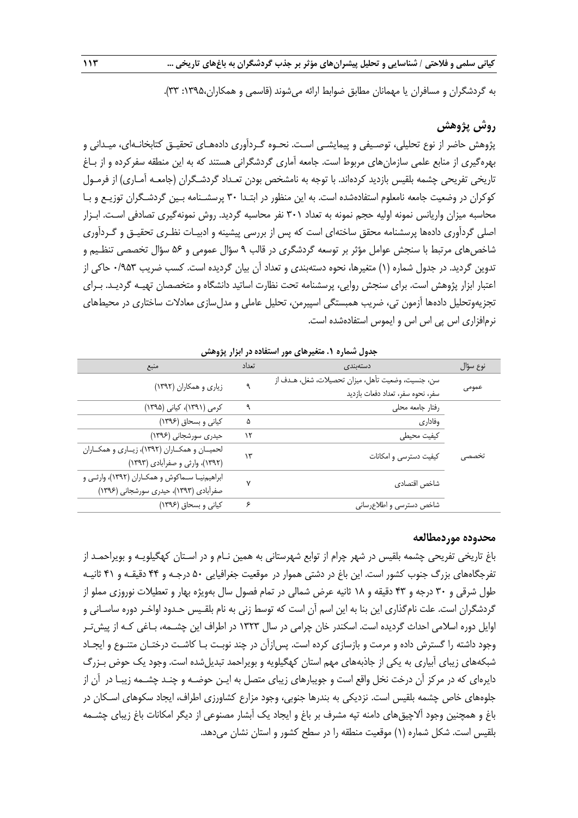به گردشگران و مسافران یا مهمانان مطابق ضوابط ارائه می شوند (قاسمی و همکاران،۱۳۹۵: ۳۳).

# **روش پژوهش**

پژوهش حاضر از نوع تحلیلی، توصـیفی و پیمایشـی اسـت. نحـوه گـردآوری دادههـای تحقیـق کتابخانـهای، میـدانی و بهرهگیری از منابع علمی سازمانهای مربوط است. جامعه آماری گردشگرانی هستند که به این منطقه سفرکرده و از بـاغ تاریخی تفریحی چشمه بلقیس بازدید کردهاند. با توجه به نامشخص بودن تعـداد گردشـگران (جامعــه آمـاری) از فرمــول کوکران در وضعیت جامعه نامعلوم استفادهشده است. به این منظور در ابتـدا 30 پرسشـنامه بـین گردشـگران توزیـع و بـا محاسبه میزان واریانس نمونه اولیه حجم نمونه به تعداد 301 نفر محاسبه گردید. روش نمونهگیری تصادفی اسـت. ابـزار اصلی گردآوری دادهها پرسشنامه محقق ساختهای است که پس از بررسی پیشینه و ادبیـات نظـری تحقیـق و گـردآوری شاخص های مرتبط با سنجش عوامل مؤثر بر توسعه گردشگری در قالب ۹ سؤال عمومی و ۵۶ سؤال تخصصی تنظـیم و تدوین گردید. در جدول شماره (۱) متغیرها، نحوه دستهبندی و تعداد آن بیان گردیده است. کسب ضریب ۰/۹۵۳ حاکی از اعتبار ابزار پژوهش است. برای سنجش روایی، پرسشنامه تحت نظارت اساتید دانشگاه و متخصصان تهیـه گردیـد. بـرای تجزیهوتحلیل دادهها آزمون تی، ضریب همبستگی اسپیرمن، تحلیل عاملی و مدلسازی معادلات ساختاری در محیطهای نرمافزاری اس پی اس اس و ایموس استفادهشده است.

| نوع سؤال | دستەبندى                                           | تعداد | منبع                                         |
|----------|----------------------------------------------------|-------|----------------------------------------------|
|          | سن، جنسيت، وضعيت تأهل، ميزان تحصيلات، شغل، هـدف از | ٩     |                                              |
| عمومى    | سفر، نحوه سفر، تعداد دفعات بازديد                  |       | زیاری و همکاران (۱۳۹۲)                       |
|          | رفتار جامعه محلي                                   | ٩     | کرمی (۱۳۹۱)، کیانی (۱۳۹۵)                    |
|          | وفاداري                                            | ۵     | کیانی و بسحاق (١٣٩۶)                         |
|          | كيفيت محيطى                                        | ۱۲    | حیدری سورشجانی (۱۳۹۶)                        |
|          |                                                    | ۱۳    | لحمیـان و همکـاران (۱۳۹۲)، زیـاری و همکـاران |
| تحصصی    | کیفیت دسترسی و امکانات                             |       | (۱۳۹۲)، وارثی و صفرآبادی (۱۳۹۳)              |
|          | شاخص اقتصادى                                       | ٧     | ابراهیمنیا سماکوش و همکاران (۱۳۹۲)، وارثی و  |
|          |                                                    |       | صفرآبادی (۱۳۹۳)، حیدری سورشجانی (۱۳۹۶)       |
|          | شاخص دسترسى و اطلاع رسانى                          | ۶     | کیانی و بسحاق (۱۳۹۶)                         |

**جدول شماره .1 متغیرهای مور استفاده در ابزار پژوهش**

#### **محدوده موردمطالعه**

باغ تاریخی تفریحی چشمه بلقیس در شهر چرام از توابع شهرستانی به همین نـام و در اسـتان کهگیلویـه و بویراحمـد از تفرجگاههای بزرر جنوب کشور است. این باغ در دشتی هموار در موقعیت جغرافیایی 50 درجـه و 44 دقیقـه و 41 ثانیـه طول شرقی و 30 درجه و 43 دقیقه و 18 ثانیه عرض شمالی در تمام فصول سال بهویژه بهار و تعطیالت نوروزی مملو از گردشگران است. علت نام گذاری این بنا به این اسم آن است که توسط زنی به نام بلقـیس حـدود اواخـر دوره ساسـانی و اوایل دوره اسالمی احداث گردیده است. اسکندر خان چرامی در سال 1323 در اطراف این چشـمه، بـاغی کـه از پیشتـر وجود داشته را گسترش داده و مرمت و بازسازی کرده است. پسازآن در چند نوبـت بـا کاشـت درختـان متنـوع و ایجـاد شبکههای زیبای آبیاری به یکی از جاذبههای مهم استان کهگیلویه و بویراحمد تبدیلشده است. وجود یک حوض بـزرر دایرهای که در مرکز آن درخت نخل واقع است و جویبارهای زیبای متصل به ایـن حوضـه و چنـد چشـمه زیبـا در آن از جلوههای خاص چشمه بلقیس است. نزدیکی به بندرها جنوبی، وجود مزارع کشاورزی اطراف، ایجاد سکوهای اسـکان در باغ و همچنین وجود آالچیقهای دامنه تپه مشرف بر باغ و ایجاد یک آبشار مصنوعی از دیگر امکانات باغ زیبای چشـمه بلقیس است. شکل شماره (۱) موقعیت منطقه را در سطح کشور و استان نشان میدهد.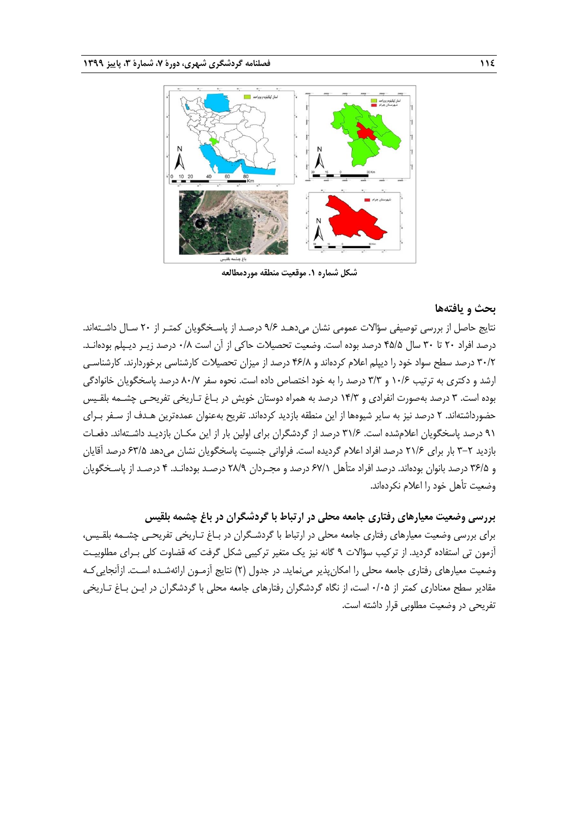

**شکل شماره .1 موقعیت منطقه موردمطالعه**

#### **بحث و یافتهها**

نتایج حاصل از بررسی توصیفی سؤاالت عمومی نشان میدهـد 9/6 درصـد از پاسـخگویان کمتـر از 20 سـال داشـتهاند. درصد افراد 20 تا 30 سال 45/5 درصد بوده است. وضعیت تحصیالت حاکی از آن است 0/8 درصد زیـر دیـپلم بودهانـد. 30/2 درصد سطح سواد خود را دیپلم اعالم کردهاند و 46/8 درصد از میزان تحصیالت کارشناسی برخوردارند. کارشناسـی ارشد و دکتری به ترتیب 10/6 و 3/3 درصد را به خود اختصاص داده است. نحوه سفر 80/7 درصد پاسخگویان خانوادگی بوده است. 3 درصد بهصورت انفرادی و 14/3 درصد به همراه دوستان خویش در بـاغ تـاریخی تفریحـی چشـمه بلقـیس حضورداشتهاند. 2 درصد نیز به سایر شیوهها از این منطقه بازدید کردهاند. تفریح بهعنوان عمدهترین هـدف از سـفر بـرای 91 درصد پاسخگویان اعالمشده است. 31/6 درصد از گردشگران برای اولین بار از این مکـان بازدیـد داشـتهاند. دفعـات بازدید 3-2 بار برای 21/6 درصد افراد اعالم گردیده است. فراوانی جنسیت پاسخگویان نشان میدهد 63/5 درصد آقایان و 36/5 درصد بانوان بودهاند. درصد افراد متأهل 67/1 درصد و مجـردان 28/9 درصـد بودهانـد. 4 درصـد از پاسـخگویان وضعیت تأهل خود را اعالم نکردهاند.

**بررسی وضعیت معیارهای رفتاری جامعه محلی در ارتباط با گردشگران در باغ چشمه بلقیس** برای بررسی وضعیت معیارهای رفتاری جامعه محلی در ارتباط با گردشـگران در بـاغ تـاریخی تفریحـی چشـمه بلقـیس، آزمون تی استفاده گردید. از ترکیب سؤاالت 9 گانه نیز یک متغیر ترکیبی شکل گرفت که قضاوت کلی بـرای مطلوبیـت وضعیت معیارهای رفتاری جامعه محلی را امکانپذیر مینماید. در جدول )2( نتایج آزمـون ارائهشـده اسـت. ازآنجاییکـه مقادیر سطح معناداری کمتر از 0/05 است، از نگاه گردشگران رفتارهای جامعه محلی با گردشگران در ایـن بـاغ تـاریخی تفریحی در وضعیت مطلوبی قرار داشته است.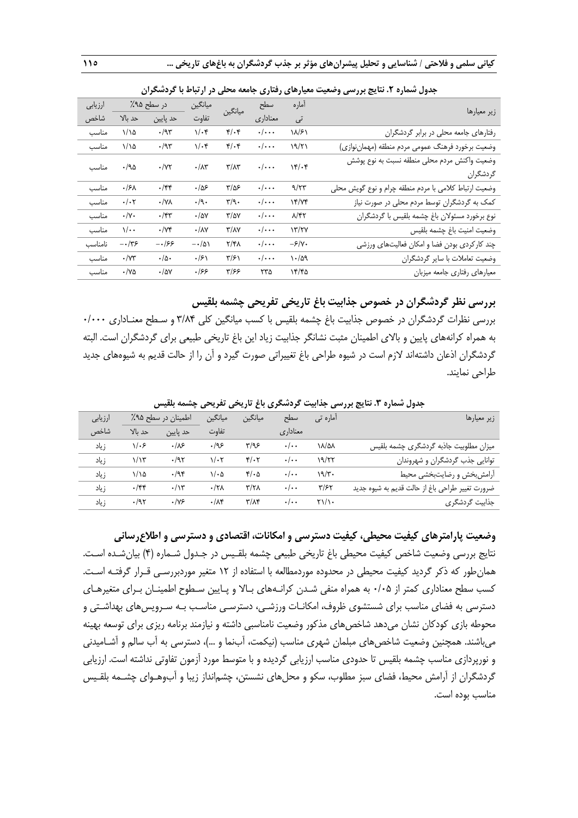| بہوں سنگرد کے مسیح بررسی رائے                         | -75                                 | <b>ی</b> ر-ری           |                                   | ی -ر بر -               | <b>.</b>               |                            |         |
|-------------------------------------------------------|-------------------------------------|-------------------------|-----------------------------------|-------------------------|------------------------|----------------------------|---------|
| زير معيارها                                           | آماره                               | سطح                     | ميانگين                           | ميانگين                 | در سطح ۹۵٪             |                            | ارزيابى |
|                                                       | تى                                  | معناداري                |                                   | تفاوت                   | حد پایین               | حد بالا                    | شاخص    |
| رفتارهای جامعه محلی در برابر گردشگران                 | ۱۸/۶۱                               | $\cdot/\cdot\cdot$      | $\mathfrak{r}/\mathfrak{r}$       | $1/\cdot$ ۴             | $\cdot$ /95            | 1/10                       | مناسب   |
| وضعيت برخورد فرهنگ عمومي مردم منطقه (مهماننوازي)      | 19/71                               | $\cdot/\cdot\cdot$      | $f(\cdot)$                        | $1/\cdot$ ۴             | $\cdot$ /95            | $1/\lambda$                | مناسب   |
| وضعيت واكنش مردم محلى منطقه نسبت به نوع پوشش          | $Yf/\cdot f$                        | $\cdot/\cdot\cdot\cdot$ | $\mathbf{r}/\mathbf{A}\mathbf{r}$ | $\cdot/\Lambda$ ۳       | $\cdot/\Upsilon$       | .40                        | مناسب   |
| گردشگران                                              |                                     |                         |                                   |                         |                        |                            |         |
| وضعیت ارتباط كلامي با مردم منطقه چرام و نوع گويش محلي | 9/77                                | $\cdot/\cdot\cdot$      | $\frac{8}{2}$                     | ۹۵۶.                    | $\cdot$ /۴۴            | .15 <sub>A</sub>           | مناسب   |
| کمک به گردشگران توسط مردم محلی در صورت نیاز           | YY/Yf                               | $\cdot/\cdot\cdot$      | $\mathbf{r}/\mathbf{q}$ .         | $\cdot/\gamma$ .        | $\cdot/\forall\lambda$ | $\cdot/\cdot$ ٢            | مناسب   |
| نوع برخورد مسئولان باغ چشمه بلقيس با گردشگران         | $\lambda$ /۴۲                       | $\cdot/\cdot\cdot$      | $\frac{1}{2}$                     | $\cdot$ /۵۷             | $\cdot$ /۴۳            | $\cdot/\gamma$ .           | مناسب   |
| وضعيت امنيت باغ چشمه بلقيس                            | $\frac{17}{7}$                      | $\cdot/\cdot\cdot$      | $\tau/\lambda\gamma$              | $\cdot/\lambda\Upsilon$ | $\cdot/\Upsilon$       | $\sqrt{\cdot \cdot \cdot}$ | مناسب   |
| چند کارکردی بودن فضا و امکان فعالیتهای ورزشی          | $-\frac{\mathcal{S}}{\mathsf{Y}}$ . | $\cdot/\cdot\cdot$      | ۲/۴۸                              | $-\cdot/\Delta$         | -۰/۶۶                  | $-\cdot/\tau$ ۶            | نامناسب |
| وضعيت تعاملات با ساير گردشگران                        | $\cdot$ /۵۹                         | $\cdot/\cdot\cdot$      | $\frac{1}{2}$                     | $\cdot$ /۶۱             | $\cdot/\Delta$ .       | $\cdot$ / $\vee\tau$       | مناسب   |
| معیارهای رفتاری جامعه میزبان                          | ۱۴/۴۵                               | ۲۳۵                     | ۳/۶۶                              | .199                    | $\cdot$ /۵۷            | $\cdot$ /Ya                | مناسب   |

**جدول شماره .2 نتایج بررسی وضعیت معیارهای رفتاری جامعه محلی در ارتباط با گردشگران**

**بررسی نظر گردشگران در خصوص جذابیت باغ تاریخی تفریحی چشمه بلقیس**

بررسی نظرات گردشگران در خصوص جذابیت باغ چشمه بلقیس با کسب میانگین کلی 3/84 و سـطح معنـاداری 0/000 به همراه کرانههای پایین و باالی اطمینان مثبت نشانگر جذابیت زیاد این باغ تاریخی طبیعی برای گردشگران است. البته گردشگران اذعان داشتهاند الزم است در شیوه طراحی باغ تغییراتی صورت گیرد و آن را از حالت قدیم به شیوههای جدید طراحی نمایند.

| $\cdot$ , $\cdot$ , $\cdot$                     |            |               | <i>u</i> c۰0            | . ت<br>᠃<br>ت     |                    |             |         |
|-------------------------------------------------|------------|---------------|-------------------------|-------------------|--------------------|-------------|---------|
| زیر معیارها                                     | آمارہ تے ِ | سطح           | ميانگين                 | ميانگين           | اطمینان در سطح ۹۵٪ |             | ارزيابى |
|                                                 |            | معناداری      |                         | تفاوت             | حد يايين           | حد نالا     | شاخص    |
| میزان مطلوبیت جاذبه گردشگری چشمه بلقیس          | ۱۸/۵۸      | $\cdot/\cdot$ | ۳/۹۶                    | .199              | .18                | ۱۱۰۶        | ز ىاد   |
| توانایی جذب گردشگران و شهروندان                 | ۱۹/۲۲      | $\cdot/\cdot$ | $f(\cdot)$              | ۰/۰۲              | $\cdot$ /95        | ۱/۱۳        | ز ىاد   |
| أرامش بخش ورضايت بخشى محيط                      | ۱۹/۳۰      | $\cdot/\cdot$ | $f(\cdot)$              | ۱/۰۵              | .795               | ۱/۱۵        | ; باد   |
| ضرورت تغيير طراحي باغ از حالت قديم به شيوه جديد | ۳/۶۲       | $\cdot/\cdot$ | ۳/۲۸                    | $\cdot$ /۲۸       | $\cdot/\gamma$     | $\cdot$ /۴۴ | ز ىاد   |
| جذابیت گردشگری                                  | ۲۱/۱۰      | $\cdot/\cdot$ | $\mathbf{r}/\mathbf{r}$ | $\cdot/\lambda$ ۴ | $\cdot$ /Y۶        | $\cdot$ /95 | ز ىاد   |
|                                                 |            |               |                         |                   |                    |             |         |

**جدول شماره .3 نتایج بررسی جذابیت گردشگری باغ تاریخی تفریحی چشمه بلقیس**

**وضعیت پارامترهای کیفیت محیطی، کیفیت دسترسی و امکانات، اقتصادی و دسترسی و اطالعرسانی** نتایج بررسی وضعیت شاخص کیفیت محیطی باغ تاریخی طبیعی چشمه بلقـیس در جـدول شـماره )4( بیانشـده اسـت. همانطور که ذکر گردید کیفیت محیطی در محدوده موردمطالعه با استفاده از 12 متغیر موردبررسـی قـرار گرفتـه اسـت. کسب سطح معناداری کمتر از 0/05 به همراه منفی شـدن کرانـههای بـاال و پـایین سـطوح اطمینـان بـرای متغیرهـای دسترسی به فضای مناسب برای شستشوی ظروف، امکانـات ورزشـی، دسترسـی مناسـب بـه سـرویسهای بهداشـتی و محوطه بازی کودکان نشان میدهد شاخصهای مذکور وضعیت نامناسبی داشته و نیازمند برنامه ریزی برای توسعه بهینه میباشند. همچنین وضعیت شاخصهای مبلمان شهری مناسب (نیکمت، آبنما و …)، دسترسی به آب سالم و آشـامیدنی و نورپردازی مناسب چشمه بلقیس تا حدودی مناسب ارزیابی گردیده و با متوسط مورد آزمون تفاوتی نداشته است. ارزیابی گردشگران از آرامش محیط، فضای سبز مطلوب، سکو و محل های نشستن، چشمانداز زیبا و آبوهـوای چشـمه بلقـیس مناسب بوده است.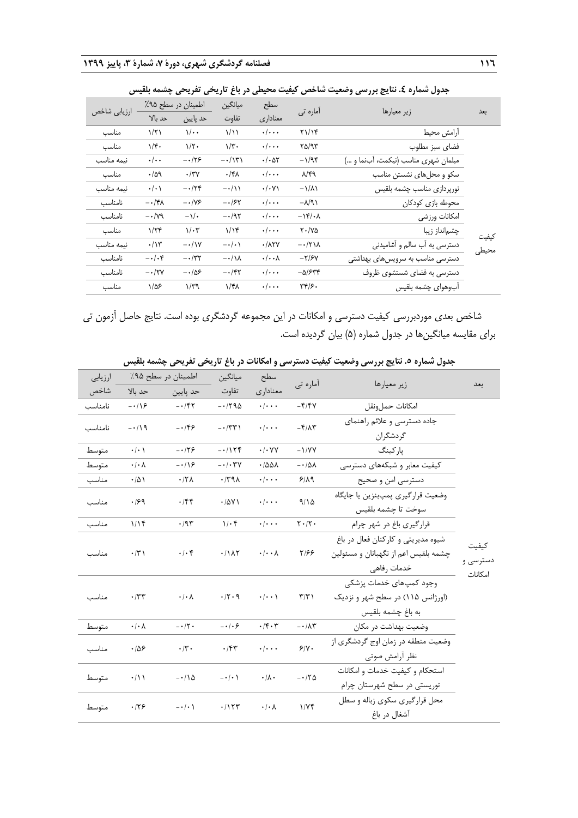|              |                       |                       |                   |                             |                            | جدوں سمارہ ٤. سايج بررسی وصليت ساخص ٿيست مخيصی در باغ تاريخی تعريحی چسمه بنسيس |       |
|--------------|-----------------------|-----------------------|-------------------|-----------------------------|----------------------------|--------------------------------------------------------------------------------|-------|
|              | اطمینان در سطح ۹۵٪    |                       | ميانگين           | سطح                         | آمارہ تی                   | زير معيارها                                                                    |       |
| ارزيابي شاخص | حد بالا               | حد پایین              | تفاوت             | معناداري                    |                            |                                                                                | بعد   |
| مناسب        | ۱/۲۱                  | $\sqrt{\cdot \cdot }$ | ۱/۱۱              | $\cdot/\cdot\cdot$          | Y1/Y                       | أرامش محيط                                                                     |       |
| مناسب        | ۱/۴۰                  | $1/\zeta$ .           | $1/\tilde{r}$     | $\cdot/\cdot\cdot$          | ۳۵/۹۳                      | فضاى سبز مطلوب                                                                 |       |
| نيمه مناسب   | $\cdot/\cdot$         | $-\cdot/75$           | $-\cdot/\Upsilon$ | $\cdot/\cdot$ at            | $-1/95$                    | مبلمان شهري مناسب (نيكمت، أبنما و )                                            |       |
| مناسب        | $\cdot/\Delta$ ۹      | $\cdot/\tau$          | $\cdot$ /۴۸       | $\cdot/\cdot\cdot$          | $\lambda$ /۴۹              | سکو و محلهای نشستن مناسب                                                       |       |
| نيمه مناسب   | $\cdot/\cdot$         | $-\cdot/7$ ۴          | $-\cdot/\lambda$  | $\cdot/\cdot$ Y)            | $-\frac{1}{\Lambda}$       | نورپردازى مناسب چشمه بلقيس                                                     |       |
| نامناسب      | $-\cdot/\mathfrak{r}$ | $-\cdot/\gamma$ ۶     | $-1.54$           | $\cdot/\cdot\cdot$          | $-\lambda/9$               | محوطه بازي كودكان                                                              |       |
| نامناسب      | $-\cdot/\gamma$ ٩     | $-\frac{1}{\sqrt{2}}$ | $- \cdot /97$     | $\cdot/\cdot\cdot$          | $-\lambda f/\cdot \lambda$ | امكانات ورزشى                                                                  |       |
| مناسب        | 1/75                  | $1/\cdot 7$           | $1/\gamma$        | $\cdot/\cdot\cdot$          | $Y \cdot / Y \Delta$       | چشمانداز زيبا                                                                  | كيفيت |
| نيمه مناسب   | $\cdot/\gamma$        | $-\cdot/\gamma$       | $-\cdot/\cdot$    | $\cdot/\lambda$ ۲۷          | $-\cdot/\tau\wedge\lambda$ | دسترسی به آب سالم و آشامیدنی                                                   | محيطى |
| نامناسب      | $-\cdot/\cdot$ ۴      | $-\cdot/\tau$ ۲       | $-\cdot/\lambda$  | $\cdot/\cdot\cdot$ $\wedge$ | $-\frac{y}{x}$             | دسترسی مناسب به سرویسهای بهداشتی                                               |       |
| نامناسب      | $-\cdot/\tau$         | $-\cdot/\Delta$ ۶     | $ \cdot$ /۴۲      | $\cdot/\cdot\cdot$          | $-\Delta$ /۶۳۴             | دسترسی به فضای شستشوی ظروف                                                     |       |
| مناسب        | $1/\Delta$ ۶          | $1/\tau q$            | ۱/۴۸              | $\cdot/\cdot\cdot$          | ٣۴/۶.                      | أبوهواي چشمه بلقيس                                                             |       |

**جدول شماره .4 نتایج بررسی وضعیت شاخص کیفیت محیطی در باغ تاریخی تفریحی چشمه بلقیس**

شاخص بعدی موردبررسی کیفیت دسترسی و امکانات در این مجموعه گردشگری بوده است. نتایج حاصل آزمون تی برای مقایسه میانگینها در جدول شماره )5( بیان گردیده است.

|                              | --------                                                                                  |                                    | ر ت ر                     | $\sim \cdot$                 | .                      |                                                                  |         |
|------------------------------|-------------------------------------------------------------------------------------------|------------------------------------|---------------------------|------------------------------|------------------------|------------------------------------------------------------------|---------|
| بعد                          | زير معيارها                                                                               | آماره تي                           | سطح                       | ميانگين                      | اطمينان در سطح ۹۵٪     |                                                                  | ارزيابى |
|                              |                                                                                           |                                    | معناداري                  | تفاوت                        | حد پايين               | حد بالا                                                          | شاخص    |
|                              | امكانات حمل ونقل                                                                          | $-\mathbf{f}/\mathbf{f}$           | $\cdot$ / $\cdot$ $\cdot$ | $-1790$                      | $- \cdot / \xi$        | $-\cdot/9$                                                       | نامناسب |
|                              | جاده دسترسی و علائم راهنمای<br>گردشگران                                                   | $-\mathbf{F}/\mathbf{A}\mathbf{r}$ | $\cdot$ / $\cdot$ $\cdot$ | $-1771$                      | $-159$                 | $-119$                                                           | نامناسب |
|                              | یا <sub>ر</sub> کینگ                                                                      | $-1/YY$                            | $\cdot$ / $\cdot$ YY      | $-1158$                      | $-179$                 | $\cdot/\cdot$                                                    | متوسط   |
|                              | کیفیت معابر و شبکههای دسترسی                                                              | $- \cdot / \Delta \Lambda$         | $\cdot$ /001              | $- \cdot / \cdot \Upsilon V$ | $-\cdot/9$             | $\cdot/\cdot \wedge$                                             | متوسط   |
|                              | دسترسي امن و صحيح                                                                         | 9/19                               | $\cdot/\cdot\cdot\cdot$   | $\cdot$ /٣٩٨                 | $\cdot$ /٢٨            | $\cdot/\Delta$                                                   | مناسب   |
|                              | وضعيت قراركيري پمپبنزين يا جايگاه<br>سوخت تا چشمه بلقيس                                   | 9/10                               | $\cdot$ / $\cdot$ $\cdot$ | .701                         | .75                    | .199                                                             | مناسب   |
|                              | قرارگیری باغ در شهر چرام                                                                  | $\mathbf{Y} \cdot / \mathbf{Y}$    | $\cdot$ / $\cdot$ $\cdot$ | $1/\cdot$ ۴                  | $\cdot$ /9٣            | 1/15                                                             | مناسب   |
| كيفيت<br>دسترسی و<br>امكانات | شیوه مدیریتی و کارکنان فعال در باغ<br>چشمه بلقیس اعم از نگهبانان و مسئولین<br>خدمات رفاهي | Y/99                               | $\cdot/\cdot\cdot\lambda$ | .7117                        | $\cdot/\cdot$ ۴        | $\cdot/\tau$                                                     | مناسب   |
|                              | وجود كمپهاى خدمات پزشكى<br>(اورژانس ۱۱۵) در سطح شهر و نزدیک<br>به باغ چشمه بلقيس          | $\tau/\tau$                        | $\cdot$ / $\cdot$ \       | $\cdot$ /۲ $\cdot$ 9         | $\cdot/\cdot$ $\wedge$ | $\cdot$ /٣٣                                                      | مناسب   |
|                              | وضعیت بهداشت در مکان                                                                      | $-\cdot/\lambda\tau$               | $\cdot$ /۴ $\cdot$ ۳      | $-\cdot/\cdot$ $\epsilon$    | $- \cdot / \cdot$      | $\boldsymbol{\cdot}\, \boldsymbol{\cdot}\,\boldsymbol{\wedge}\,$ | متوسط   |
|                              | وضعیت منطقه در زمان اوج گردشگری از<br>نظر آرامش صوتى                                      | 9/1.                               | $\cdot/\cdot\cdot\cdot$   | .75                          | $\cdot/\mathbf{r}$ .   | .109                                                             | مناسب   |
|                              | استحكام و كيفيت خدمات و امكانات<br>توریستی در سطح شهرستان چرام                            | $- \cdot / \nabla \Delta$          | $\cdot/\lambda$ .         | $-\cdot/\cdot$ \             | $-\cdot/\lambda$       | $\cdot/\mathcal{N}$                                              | متوسط   |
|                              | محل قرارگیری سکوی زباله و سطل<br>آشغال در باغ                                             | 1/Yf                               | $\cdot/\cdot \wedge$      | .1157                        | $-\cdot/\cdot$ \       | .179                                                             | متوسط   |
|                              |                                                                                           |                                    |                           |                              |                        |                                                                  |         |

**جدول شماره .5 نتایج بررسی وضعیت کیفیت دسترسی و امکانات در باغ تاریخی تفریحی چشمه بلقیس**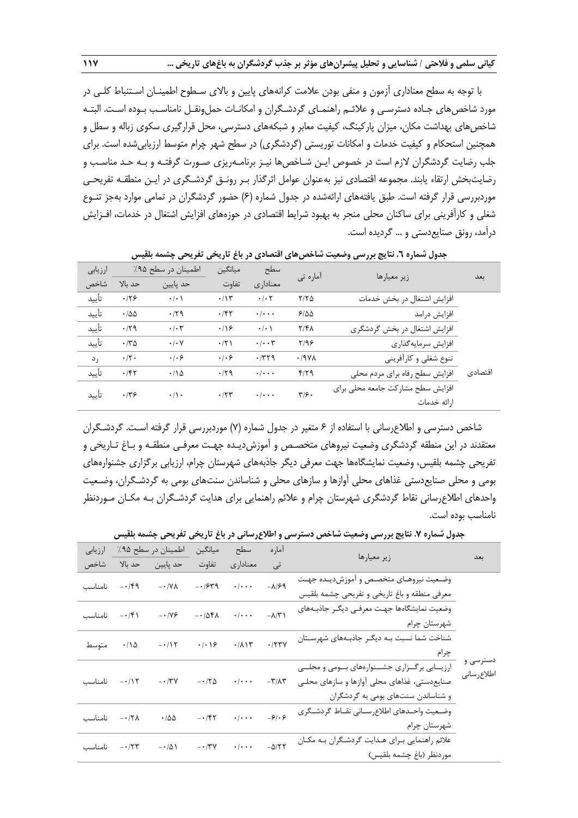با توجه به سطح معناداری آزمون و منفی بودن عالمت کرانههای پایین و باالی سـطوح اطمینـان اسـتنباط کلـی در مورد شاخصهای جـاده دسترسـی و عالئـم راهنمـای گردشـگران و امکانـات حملونقـل نامناسـب بـوده اسـت. البتـه شاخصهای بهداشت مکان، میزان پارکینگ، کیفیت معابر و شبکههای دسترسی، محل قرارگیری سکوی زباله و سطل و همچنین استحکام و کیفیت خدمات و امکانات توریستی (گردشگری) در سطح شهر چرام متوسط ارزیابیشده است. برای جلب رضایت گردشگران الزم است در خصوص ایـن شـاخصها نیـز برنامـهریزی صـورت گرفتـه و بـه حـد مناسـب و رضایتبخش ارتقاء یابند. مجموعه اقتصادی نیز بهعنوان عوامل اثرگذار بـر رونـق گردشـگری در ایـن منطقـه تفریحـی موردبررسی قرار گرفته است. طبق یافتههای ارائهشده در جدول شماره (۶) حضور گردشگران در تمامی موارد بهجز تنـوع شغلی و کارآفرینی برای ساکنان محلی منجر به بهبود شرایط اقتصادی در حوزههای افزایش اشتغال در خدمات، افـزایش درآمد، رونق صنایعدستی و ... گردیده است.

| ارزيابى |                    | اطمينان در سطح ۹۵٪       | ميانگين        | سطح                          | آمارہ تی                     | زير معيارها                       |         |
|---------|--------------------|--------------------------|----------------|------------------------------|------------------------------|-----------------------------------|---------|
| شاخص    | حد بالا            | حد پايين                 | تفاوت          | معنادارى                     |                              |                                   | بعد     |
| تأييد   | .179               | $\cdot$ / $\cdot$ )      | $\cdot/\gamma$ | $\cdot$ / $\cdot$ $\cdot$    | $Y/Y$ $\Delta$               | افزایش اشتغال در بخش خدمات        |         |
| تأييد   | .788               | .179                     | .787           | $\cdot$ / $\cdot$ $\cdot$    | 5100                         | افزايش درامد                      |         |
| تأييد   | $\cdot$ /۲۹        | $\cdot$ / $\cdot$ $\tau$ | .199           | $\cdot/\cdot$ )              | $Y/F\Lambda$                 | افزایش اشتغال در بخش گردشگری      |         |
| تأىيد   | $\cdot$ $\nmid$ ۳۵ | $\cdot$ / $\cdot$ $\vee$ | $\cdot$ /٢١    | $\cdot$ / $\cdot$ $\uparrow$ | Y/99                         | افزايش سرمايه گذاري               |         |
| رد      | $\cdot$ /٢ $\cdot$ | .   . 9                  | .   . 9        | .779                         | .19Y <sub>A</sub>            | تنوع شغلي و كارأفريني             |         |
| تأىيد   | .157               | .110                     | .79            | $\cdot$ / $\cdot$ $\cdot$    | f/T                          | افزایش سطح رفاه برای مردم محلی    | اقتصادى |
| تأىيد   | .779               | $\cdot/\cdot$            | .77            | $\cdot$ / $\cdot$ $\cdot$    | $\mathbf{y}_{\mathcal{F}}$ . | افزایش سطح مشارکت جامعه محلی برای |         |
|         |                    |                          |                |                              |                              | ارائه خدمات                       |         |

**جدول شماره .6 نتایج بررسی وضعیت شاخصهای اقتصادی در باغ تاریخی تفریحی چشمه بلقیس**

شاخص دسترسی و اطالعرسانی با استفاده از 6 متغیر در جدول شماره )7( موردبررسی قرار گرفته اسـت. گردشـگران معتقدند در این منطقه گردشگری وضعیت نیروهای متخصـص و آموزشدیـده جهـت معرفـی منطقـه و بـاغ تـاریخی و تفریحی چشمه بلقیس، وضعیت نمایشگاهها جهت معرفی دیگر جاذبههای شهرستان چرام، ارزیابی برگزاری جشنوارههای بومی و محلی صنایعدستی غذاهای محلی آوازها و سازهای محلی و شناساندن سنتهای بومی به گردشـگران، وضـعیت واحدهای اطالعرسانی نقاط گردشگری شهرستان چرام و عالئم راهنمایی برای هدایت گردشـگران بـه مکـان مـوردنظر نامناسب بوده است.

| بعد                    | زير معيارها                                      | امار ه                       | سطح                            | ميانگين                        | اطمينان در سطح ۹۵٪             |                          | ارزيابى      |
|------------------------|--------------------------------------------------|------------------------------|--------------------------------|--------------------------------|--------------------------------|--------------------------|--------------|
|                        |                                                  | تى                           | معناداري                       | تفاوت                          | حد پايين                       | حد بالا                  | شاخص         |
|                        | وضعیت نیروهـای متخصـص و آموزشدیـده جهـت          | $-\lambda$ /۶۹               | $\cdot$ / $\cdot$ $\cdot$      | $-1949$                        | $- \cdot / V \Lambda$          | $-14$                    | نامناسب      |
|                        | معرفی منطقه و باغ تاریخی و تفریحی چشمه بلقیس     |                              |                                |                                |                                |                          |              |
|                        | وضعیت نمایشگاهها جهت معرفی دیگر جاذبههای         | $-\lambda/\tau$              | $\cdot \mid \cdot \cdot \cdot$ | $-105$                         | $- \cdot 119$                  | $- \cdot / \mathfrak{F}$ | نامناسب      |
|                        | شهرستان چرام                                     |                              |                                |                                |                                |                          |              |
|                        | شناخت شما نسبت بـه دیگـر جاذبـههای شهرسـتان      | .777V                        | .711                           | $\cdot$ / $\cdot$ / $\epsilon$ | $-115$                         | $\cdot/\Delta$           | متوسط        |
|                        |                                                  |                              |                                |                                |                                |                          |              |
| دسترسی و<br>اطلاعرسانى | ارزیــابی برگــزاری جشــنوارههای بــومی و محلــی |                              |                                |                                |                                |                          |              |
|                        | صنایع دستی، غذاهای محلی آوازها و سازهای محلـی    | $-\mathsf{r}/\mathsf{r}$     | $\cdot/\cdot\cdot\cdot$        |                                | $- \cdot 7V$ $- \cdot 7\Delta$ |                          | ٠/١٢ نامناسب |
|                        | و شناساندن سنتهای بومی به گردشگران               |                              |                                |                                |                                |                          |              |
|                        | وضعيت واحـدهاى اطلاعرســاني نقــاط گردشــگرى     | $-\frac{\epsilon}{2}$        | $\cdot \mid \cdot \cdot \cdot$ | $-157$                         | $\cdot$ /00                    | ۰۰/۲۸ نامناسب            |              |
|                        | شهرستان چرام                                     |                              |                                |                                |                                |                          |              |
|                        | علائم راهنمایی بـرای هـدایت گردشـگران بـه مكـان  | $-\Delta/\Upsilon\,\Upsilon$ | $\cdot$ / $\cdot$ .            | $- \cdot / \tau v$             | $-\cdot/\Delta$                | ۰/۲۳ نامناسب             |              |
|                        | موردنظر (باغ چشمه بلقيس)                         |                              |                                |                                |                                |                          |              |

**جدول شماره .7 نتایج بررسی وضعیت شاخص دسترسی و اطالعرسانی در باغ تاریخی تفریحی چشمه بلقیس**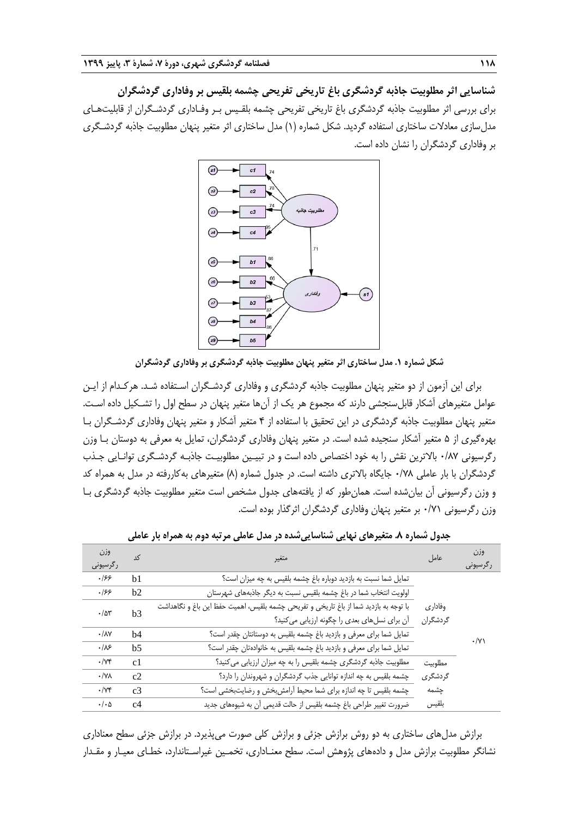**شناسایی اثر مطلوبیت جاذبه گردشگری باغ تاریخی تفریحی چشمه بلقیس بر وفاداری گردشگران** برای بررسی اثر مطلوبیت جاذبه گردشگری باغ تاریخی تفریحی چشمه بلقـیس بـر وفـاداری گردشـگران از قابلیتهـای مدل سازی معادلات ساختاری استفاده گردید. شکل شماره (۱) مدل ساختاری اثر متغیر پنهان مطلوبیت جاذبه گردشـگری بر وفاداری گردشگران را نشان داده است.



**شکل شماره .1 مدل ساختاری اثر متغیر پنهان مطلوبیت جاذبه گردشگری بر وفاداری گردشگران**

برای این آزمون از دو متغیر پنهان مطلوبیت جاذبه گردشگری و وفاداری گردشـگران اسـتفاده شـد. هرکـدام از ایـن عوامل متغیرهای آشکار قابلسنجشی دارند که مجموع هر یک از آنها متغیر پنهان در سطح اول را تشـکیل داده اسـت. متغیر پنهان مطلوبیت جاذبه گردشگری در این تحقیق با استفاده از 4 متغیر آشکار و متغیر پنهان وفاداری گردشـگران بـا بهرهگیری از 5 متغیر آشکار سنجیده شده است. در متغیر پنهان وفاداری گردشگران، تمایل به معرفی به دوستان بـا وزن رگرسیونی 0/87 باالترین نقش را به خود اختصاص داده است و در تبیـین مطلوبیـت جاذبـه گردشـگری توانـایی جـذب گردشگران با بار عاملی ۰/۷۸ جایگاه بالاتری داشته است. در جدول شماره (۸) متغیرهای بهکاررفته در مدل به همراه کد و وزن رگرسیونی آن بیانشده است. همانطور که از یافتههای جدول مشخص است متغیر مطلوبیت جاذبه گردشگری بـا وزن رگرسیونی 0/71 بر متغیر پنهان وفاداری گردشگران اثرگذار بوده است.

| وزن<br>رگرسیونی         | کد             | متغير                                                                                                                                  | عامل                | وزن<br>رگرسیونی |
|-------------------------|----------------|----------------------------------------------------------------------------------------------------------------------------------------|---------------------|-----------------|
| .199                    | b <sub>1</sub> | تمایل شما نسبت به بازدید دوباره باغ چشمه بلقیس به چه میزان است؟                                                                        |                     |                 |
| .199                    | b2             | اولویت انتخاب شما در باغ چشمه بلقیس نسبت به دیگر جاذبههای شهرستان                                                                      |                     |                 |
| .78                     | b3             | با توجه به بازديد شما از باغ تاريخي و تفريحي چشمه بلقيس، اهميت حفظ اين باغ و نگاهداشت<br>أن براي نسلهاي بعدي را چگونه ارزيابي مي كنيد؟ | وفادارى<br>گردشگران |                 |
| $\cdot/\lambda\Upsilon$ | b4             | تمایل شما برای معرفی و بازدید باغ چشمه بلقیس به دوستانتان چقدر است؟                                                                    |                     | $\cdot$ /Y)     |
| .18                     | h <sub>5</sub> | تمایل شما برای معرفی و بازدید باغ چشمه بلقیس به خانوادهتان چقدر است؟                                                                   |                     |                 |
| $\cdot/\gamma$ ۴        | c <sub>1</sub> | مطلوبیت جاذبه گردشگری چشمه بلقیس را به چه میزان ارزیابی می کنید؟                                                                       | مطلوبيت             |                 |
| $\cdot$ /YA             | c2             | چشمه بلقیس به چه اندازه توانایی جذب گردشگران و شهروندان را دارد؟                                                                       | گردشگری             |                 |
| $\cdot/\gamma$ ۴        | c <sub>3</sub> | چشمه بلقیس تا چه اندازه برای شما محیط آرامش بخش و رضایتبخشی است؟                                                                       | چشمه                |                 |
| $\cdot/\cdot \Delta$    | c4             | ضرورت تغییر طراحی باغ چشمه بلقیس از حالت قدیمی آن به شیوههای جدید                                                                      | بلقيس               |                 |

**جدول شماره .8 متغیرهای نهایی شناساییشده در مدل عاملی مرتبه دوم به همراه بار عاملی**

برازش مدلهای ساختاری به دو روش برازش جزئی و برازش کلی صورت میپذیرد. در برازش جزئی سطح معناداری نشانگر مطلوبیت برازش مدل و دادههای پژوهش است. سطح معنـاداری، تخمـین غیراسـتاندارد، خطـای معیـار و مقـدار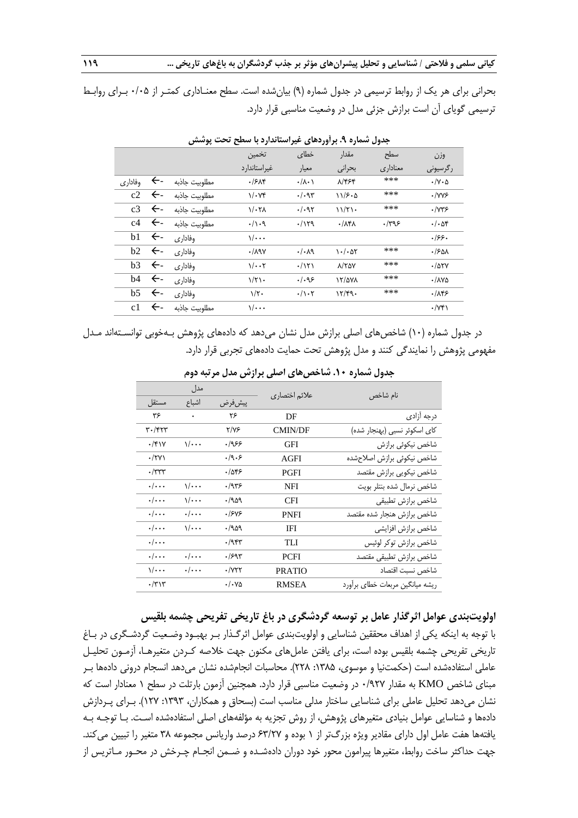بحرانی برای هر یک از روابط ترسیمی در جدول شماره (۹) بیان شده است. سطح معنـاداری کمتـر از ۰/۰۵ بـرای روابـط ترسیمی گویای آن است برازش جزئی مدل در وضعیت مناسبی قرار دارد.

|         |              |               | تخمين                | خطاى                          | مقدار                     | سطح      | وزن                         |
|---------|--------------|---------------|----------------------|-------------------------------|---------------------------|----------|-----------------------------|
|         |              |               | غیر استاندار د       | معيار                         | بحراني                    | معناداري | ر گرسیونی                   |
| وفاداري | $\leftarrow$ | مطلوبيت جاذبه | .75                  | $\cdot/\lambda \cdot \lambda$ | 8/454                     | ***      | $\cdot/\gamma \cdot \Delta$ |
| c2      | $\leftarrow$ | مطلوبيت جاذبه | $1/\cdot Y^*$        | $\cdot/\cdot$ 95              | 115.0                     | ***      | $\cdot$ /YYS                |
| c3      | $\leftarrow$ | مطلوبيت جاذبه | $1/\cdot 7\Lambda$   | .1.97                         | 11/T1                     | ***      | $\cdot$ / $\gamma$ ۳۶       |
| c4      | $\leftarrow$ | مطلوبيت جاذبه | $. / \backslash . Q$ | .1179                         | $\cdot/\lambda f\lambda$  | .799     | $\cdot/\cdot$ af            |
| b1      | $\leftarrow$ | وفادارى       | $\sqrt{\cdots}$      |                               |                           |          | .199.                       |
| b2      | $\leftarrow$ | وفادارى       | $\cdot$ /191         | $\cdot/\cdot \lambda$ 9       | $\cdot$ / $\cdot$ $\circ$ | ***      | $.150\lambda$               |
| b3      | $\leftarrow$ | وفادارى       | $1/\cdot \cdot 7$    | .7171                         | $\lambda$ /٢۵٧            | ***      | .705Y                       |
| b4      | $\leftarrow$ | وفاداري       | $1/\tau$ .           | ۹۶.۱۰                         | 17/2V <sub>A</sub>        | ***      | $\cdot$ /170                |
| b5      | $\leftarrow$ | وفاداري       | $1/\tau$ .           | $\cdot/\rangle \cdot 7$       | 17/F9.                    | ***      | .189                        |
| c1      | $\leftarrow$ | مطلوبيت جاذبه | $\sqrt{\cdots}$      |                               |                           |          | $\cdot$ /Y۴۱                |
|         |              |               |                      |                               |                           |          |                             |

**جدول شماره .9 برآوردهای غیراستاندارد با سطح تحت پوشش**

در جدول شماره (۱۰) شاخصهای اصلی برازش مدل نشان میدهد که دادههای پژوهش بـهخوبی توانسـتهاند مـدل مفهومی پژوهش را نمایندگی کنند و مدل پژوهش تحت حمایت دادههای تجربی قرار دارد.

|                    | مدل                     |         |               | نام شاخص                        |
|--------------------|-------------------------|---------|---------------|---------------------------------|
| مستقل              | اشباع                   | پیش فرض | علائم اختصاري |                                 |
| ۳۶                 | ۰                       | ۲۶      | DF            | درجه آزادى                      |
| ۳۰/۴۲۳             |                         | 7/۷۶    | CMIN/DF       | کای اسکوئر نسبی (بهنجار شده)    |
| $\cdot$ /۴۱۷       | $\sqrt{\cdots}$         | ۶۶۶.    | GFI           | شاخص نيكوئي برازش               |
| $\cdot$ /۲۷۱       |                         | .19.5   | AGFI          | شاخص نيكوئى برازش اصلاحشده      |
| $\cdot$ /۳۳۳       |                         | ۱۵۴۶.   | PGFI          | شاخص نيكويي برازش مقتصد         |
| $\cdot/\cdot\cdot$ | $1/\cdots$              | ۹۳۶.    | NFI           | شاخص نرمال شده بنتلر بويت       |
| $\cdot/\cdot\cdot$ | $\sqrt{\cdots}$         | ۹۵۹.    | CFI           | شاخص برازش تطبيقي               |
| $\cdot/\cdot\cdot$ | $\cdot/\cdot\cdot\cdot$ | ۱۶۷۶.   | <b>PNFI</b>   | شاخص برازش هنجار شده مقتصد      |
| $\cdot/\cdot\cdot$ | $\sqrt{\cdots}$         | ۹۵۹.    | IFI           | شاخص برازش افزايشى              |
| $\cdot/\cdot\cdot$ |                         | ۶/۹۴۳   | TLI           | شاخص برازش توكر لوئيس           |
| $\cdot/\cdot\cdot$ | $\cdot/\cdot\cdot$      | .1997   | <b>PCFI</b>   | شاخص برازش تطبيقى مقتصد         |
| $\sqrt{\cdots}$    | $\cdot/\cdot\cdot$      | ۰/۷۲۲   | <b>PRATIO</b> | شاخص نسبت اقتصاد                |
| $\cdot$ /٣١٣       |                         | ۰/۰۷۵   | <b>RMSEA</b>  | ریشه میانگین مربعات خطای برآورد |

**جدول شماره .10 شاخصهای اصلی برازش مدل مرتبه دوم**

**اولویتبندی عوامل اثرگذار عامل بر توسعه گردشگری در باغ تاریخی تفریحی چشمه بلقیس**

با توجه به اینکه یکی از اهداف محققین شناسایی و اولویتبندی عوامل اثرگـذار بـر بهبـود وضـعیت گردشـگری در بـاغ تاریخی تفریحی چشمه بلقیس بوده است، برای یافتن عاملهای مکنون جهت خالصه کـردن متغیرهـا، آزمـون تحلیـل عاملی استفادهشده است (حکمتنیا و موسوی، ۱۳۸۵: ۲۲۸). محاسبات انجامشده نشان میدهد انسجام درونی دادهها بـر مبنای شاخص KMO به مقدار 0/927 در وضعیت مناسبی قرار دارد. همچنین آزمون بارتلت در سطح 1 معنادار است که نشان میدهد تحلیل عاملی برای شناسایی ساختار مدلی مناسب است )بسحاق و همکاران، :1393 127(. بـرای پـردازش دادهها و شناسایی عوامل بنیادی متغیرهای پژوهش، از روش تجزیه به مؤلفههای اصلی استفادهشده اسـت. بـا توجـه بـه یافتهها هفت عامل اول دارای مقادیر ویژه بزررتر از 1 بوده و 63/27 درصد واریانس مجموعه 38 متغیر را تبیین میکند. جهت حداکثر ساخت روابط، متغیرها پیرامون محور خود دوران دادهشـده و ضـمن انجــام چـرخش در محـور مــاتریس از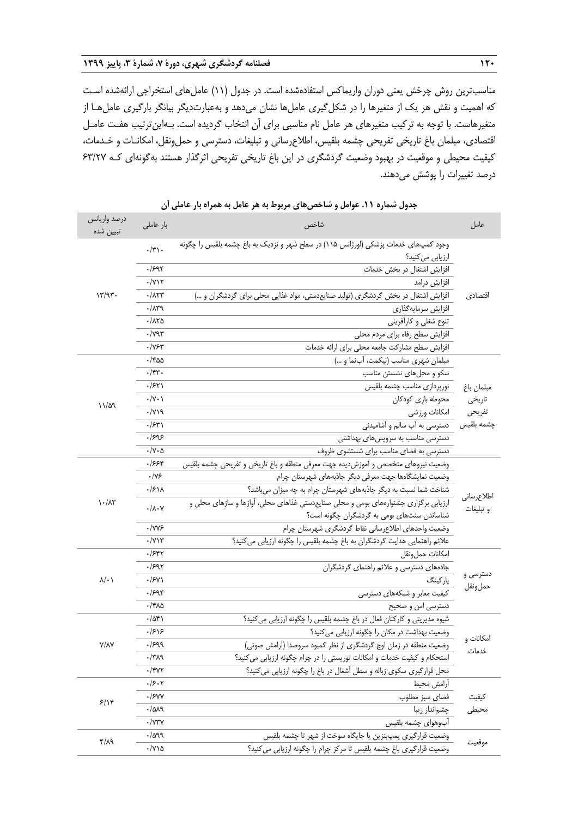مناسبترین روش چرخش یعنی دوران واریماکس استفادهشده است. در جدول )11( عاملهای استخراجی ارائهشده اسـت که اهمیت و نقش هر یک از متغیرها را در شکلگیری عاملها نشان میدهد و بهعبارتدیگر بیانگر بارگیری عاملهـا از متغیرهاست. با توجه به ترکیب متغیرهای هر عامل نام مناسبی برای آن انتخاب گردیده است. بـهاینترتیب هفـت عامـل اقتصادی، مبلمان باغ تاریخی تفریحی چشمه بلقیس، اطالعرسانی و تبلیغات، دسترسی و حملونقل، امکانـات و خـدمات، کیفیت محیطی و موقعیت در بهبود وضعیت گردشگری در این باغ تاریخی تفریحی اثرگذار هستند بهگونهای کـه 63/27 درصد تغییرات را پوشش میدهند.

| درصد واريانس<br>تبيين شده         | بار عاملی                          | شاخص                                                                                 | عامل       |  |  |  |  |  |
|-----------------------------------|------------------------------------|--------------------------------------------------------------------------------------|------------|--|--|--|--|--|
|                                   |                                    | وجود کمپهای خدمات پزشکی (اورژانس ۱۱۵) در سطح شهر و نزدیک به باغ چشمه بلقیس را چگونه  |            |  |  |  |  |  |
|                                   | $\cdot/\tau$ .                     | ارزيابي مي كنيد؟                                                                     |            |  |  |  |  |  |
|                                   | .798                               | افزایش اشتغال در بخش خدمات                                                           |            |  |  |  |  |  |
|                                   | $\cdot$ / $\gamma$                 | افزایش درامد                                                                         |            |  |  |  |  |  |
| 17/97.                            | $\cdot$ / $\wedge\uparrow\uparrow$ | افزایش اشتغال در بخش گردشگری (تولید صنایعدستی، مواد غذایی محلی برای گردشگران و )     |            |  |  |  |  |  |
|                                   | .71                                | افزايش سرمايه گذاري                                                                  |            |  |  |  |  |  |
|                                   | ۱۸۲۵.                              | تنوع شغلي و كارأفريني                                                                |            |  |  |  |  |  |
|                                   | $\cdot$ /795                       | افزایش سطح رفاه برای مردم محلی                                                       |            |  |  |  |  |  |
|                                   | $\cdot$ /Y۶۳                       | افزایش سطح مشاركت جامعه محلي براي ارائه خدمات                                        |            |  |  |  |  |  |
|                                   | ۳۵۵-                               | مبلمان شهرى مناسب (نيكمت، آبنما و )                                                  |            |  |  |  |  |  |
|                                   | $\cdot$ /۴۳ $\cdot$                | سکو و محلهای نشستن مناسب                                                             |            |  |  |  |  |  |
|                                   | .751                               | نورپردازی مناسب چشمه بلقیس                                                           | مبلمان باغ |  |  |  |  |  |
|                                   | $\cdot/\Upsilon\cdot$              | محوطه بازي كودكان                                                                    | تاريخى     |  |  |  |  |  |
| $11/\Delta$ 9                     | $\cdot$ /Y)9                       | امكانات ورزشى                                                                        | تفريحي     |  |  |  |  |  |
|                                   | .754                               | دسترسی به آب سالم و آشامیدنی                                                         | چشمه بلقیس |  |  |  |  |  |
|                                   | ۹۶۹۶.                              | دسترسی مناسب به سرویسهای بهداشتی                                                     |            |  |  |  |  |  |
|                                   | $\cdot/\Upsilon \cdot \Delta$      | دسترسی به فضای مناسب برای شستشوی ظروف                                                |            |  |  |  |  |  |
|                                   | ۶۶۴.                               | وضعیت نیروهای متخصص و آموزشدیده جهت معرفی منطقه و باغ تاریخی و تفریحی چشمه بلقیس     |            |  |  |  |  |  |
|                                   | $\cdot$ /Y۶                        | وضعیت نمایشگاهها جهت معرفی دیگر جاذبههای شهرستان چرام                                |            |  |  |  |  |  |
|                                   | ۰/۶۱۸                              | شناخت شما نسبت به دیگر جاذبههای شهرستان چرام به چه میزان میباشد؟                     | اطلاعرسانى |  |  |  |  |  |
| $\mathcal{N} \cdot / \mathcal{N}$ | $\cdot/\lambda\cdot\gamma$         | ارزیابی برگزاری جشنوارههای بومی و محلی صنایعدستی غذاهای محلی، آوازها و سازهای محلی و | و تبليغات  |  |  |  |  |  |
|                                   |                                    | شناساندن سنتهای بومی به گردشگران چگونه است؟                                          |            |  |  |  |  |  |
|                                   | $\cdot$ /YYS                       | وضعيت واحدهاى اطلاع رسانى نقاط گردشگرى شهرستان چرام                                  |            |  |  |  |  |  |
|                                   | $\cdot$ / $\gamma$                 | علائم راهنمایی هدایت گردشگران به باغ چشمه بلقیس را چگونه ارزیابی می کنید؟            |            |  |  |  |  |  |
|                                   | ۰/۶۴۲                              | امكانات حمل ونقل                                                                     |            |  |  |  |  |  |
|                                   | .1997                              | جادههای دسترسی و علائم راهنمای گردشگران                                              | دسترسی و   |  |  |  |  |  |
| $\lambda/\cdot$                   | $\cdot$ /۶۷۱                       | پارکینگ                                                                              | حملونقل    |  |  |  |  |  |
|                                   | .798                               | کیفیت معابر و شبکههای دسترسی                                                         |            |  |  |  |  |  |
|                                   | ٠/۴٨۵                              | دسترسی امن و صحیح                                                                    |            |  |  |  |  |  |
|                                   | ۰/۵۴۱                              | شیوه مدیریتی و کارکنان فعال در باغ چشمه بلقیس را چگونه ارزیابی می کنید؟              |            |  |  |  |  |  |
|                                   | .1818                              | وضعیت بهداشت در مکان را چگونه ارزیابی می کنید؟                                       | امکانات و  |  |  |  |  |  |
| <b>Y/AY</b>                       | .1999                              | وضعیت منطقه در زمان اوج گردشگری از نظر کمبود سروصدا (آرامش صوتی)                     | خدمات      |  |  |  |  |  |
|                                   | $\cdot$ /۳۸۹                       | استحکام و کیفیت خدمات و امکانات توریستی را در چرام چگونه ارزیابی می کنید؟            |            |  |  |  |  |  |
|                                   | $\cdot$ /۴۷۲                       | محل قرارگیری سکوی زباله و سطل أشغال در باغ را چگونه ارزیابی می کنید؟                 |            |  |  |  |  |  |
|                                   | ۰/۶۰۲                              | أرامش محيط                                                                           |            |  |  |  |  |  |
| 5/19                              | ۰/۶۷۷                              | فضاى سبز مطلوب                                                                       | كيفيت      |  |  |  |  |  |
|                                   | .7019                              | چشمانداز زيبا                                                                        | محيطى      |  |  |  |  |  |
|                                   | $\cdot$ /Y۳Y                       | أبوهواي چشمه بلقيس                                                                   |            |  |  |  |  |  |
| ۴/۸۹                              | $\cdot$ /۵۹۹                       | وضعیت قرارگیری پمپبنزین یا جایگاه سوخت از شهر تا چشمه بلقیس                          | موقعيت     |  |  |  |  |  |
|                                   | ۰/۷۱۵                              | وضعیت قرارگیری باغ چشمه بلقیس تا مرکز چرام را چگونه ارزیابی می کنید؟                 |            |  |  |  |  |  |

**جدول شماره .11 عوامل و شاخصهای مربوط به هر عامل به همراه بار عاملی آن**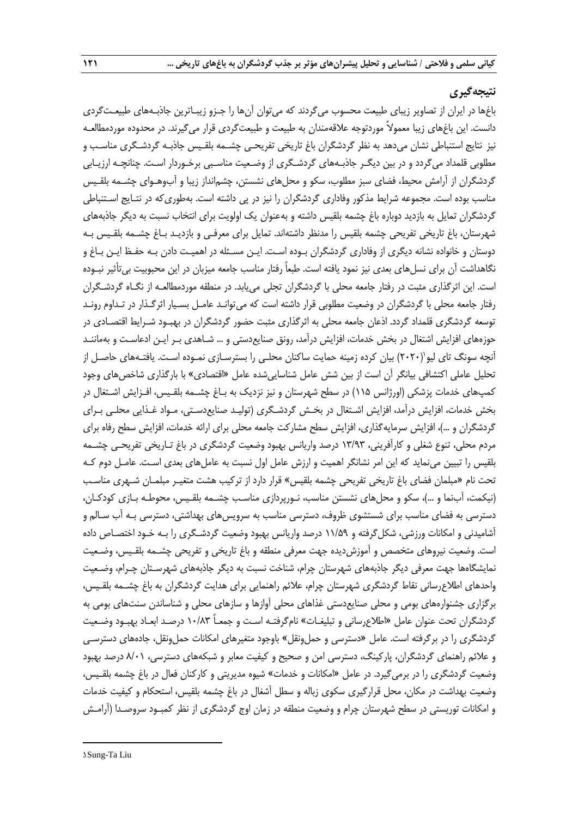## **نتیجهگیری**

باغها در ایران از تصاویر زیبای طبیعت محسوب میگردند که میتوان آنها را جـزو زیبـاترین جاذبـههای طبیعـتگردی دانست. این باغهای زیبا معموالً موردتوجه عالقهمندان به طبیعت و طبیعتگردی قرار میگیرند. در محدوده موردمطالعـه نیز نتایج استنباطی نشان میدهد به نظر گردشگران باغ تاریخی تفریحـی چشـمه بلقـیس جاذبـه گردشـگری مناسـب و مطلوبی قلمداد میگردد و در بین دیگـر جاذبـههای گردشـگری از وضـعیت مناسـبی برخـوردار اسـت. چنانچـه ارزیـابی گردشگران از آرامش محیط، فضای سبز مطلوب، سکو و محلهای نشستن، چشمانداز زیبا و آبوهـوای چشــمه بلقـیس مناسب بوده است. مجموعه شرایط مذکور وفاداری گردشگران را نیز در پی داشته است. بهطوری که در نتـایج اسـتنباطی گردشگران تمایل به بازدید دوباره باغ چشمه بلقیس داشته و بهعنوان یک اولویت برای انتخاب نسبت به دیگر جاذبههای شهرستان، باغ تاریخی تفریحی چشمه بلقیس را مدنظر داشتهاند. تمایل برای معرفـی و بازدیـد بـاغ چشـمه بلقـیس بـه دوستان و خانواده نشانه دیگری از وفاداری گردشگران بـوده اسـت. ایـن مسـئله در اهمیـت دادن بـه حفـب ایـن بـاغ و نگاهداشت آن برای نسلهای بعدی نیز نمود یافته است. طبعاً رفتار مناسب جامعه میزبان در این محبوبیت بیتأثیر نبـوده است. این اثرگذاری مثبت در رفتار جامعه محلی با گردشگران تجلی مییابد. در منطقه موردمطالعـه از نگـاه گردشـگران رفتار جامعه محلی با گردشگران در وضعیت مطلوبی قرار داشته است که میتوانـد عامـل بسـیار اثرگـذار در تـداوم رونـد توسعه گردشگری قلمداد گردد. اذعان جامعه محلی به اثرگذاری مثبت حضور گردشگران در بهبـود شـرایط اقتصـادی در حوزههای افزایش اشتغال در بخش خدمات، افزایش درآمد، رونق صنایعدستی و ... شـاهدی بـر ایـن ادعاسـت و بهماننـد 1 آنچه سونگ تای لیو )2020( بیان کرده زمینه حمایت ساکنان محلـی را بسترسـازی نمـوده اسـت. یافتـههای حاصـل از تحلیل عاملی اکتشافی بیانگر آن است از بین شش عامل شناساییشده عامل «اقتصادی» با بارگذاری شاخصهای وجود کمپهای خدمات پزشکی )اورژانس 115( در سطح شهرستان و نیز نزدیک به بـاغ چشـمه بلقـیس، افـزایش اشـتغال در بخش خدمات، افزایش درآمد، افزایش اشـتغال در بخـش گردشـگری )تولیـد صنایعدسـتی، مـواد غـذایی محلـی بـرای گردشگران و …)، افزایش سرمایهگذاری، افزایش سطح مشارکت جامعه محلی برای ارائه خدمات، افزایش سطح رفاه برای مردم محلی، تنوع شغلی و کارآفرینی، 13/93 درصد واریانس بهبود وضعیت گردشگری در باغ تـاریخی تفریحـی چشـمه بلقیس را تبیین مینماید که این امر نشانگر اهمیت و ارزش عامل اول نسبت به عاملهای بعدی اسـت. عامـل دوم کـه تحت نام »مبلمان فضای باغ تاریخی تفریحی چشمه بلقیس« قرار دارد از ترکیب هشت متغیـر مبلمـان شـهری مناسـب )نیکمت، آبنما و ...(، سکو و محلهای نشستن مناسب، نـورپردازی مناسـب چشـمه بلقـیس، محوطـه بـازی کودکـان، دسترسی به فضای مناسب برای شستشوی ظروف، دسترسی مناسب به سرویسهای بهداشتی، دسترسی بـه آب سـالم و آشامیدنی و امکانات ورزشی، شکلگرفته و 11/59 درصد واریانس بهبود وضعیت گردشـگری را بـه خـود اختصـاص داده است. وضعیت نیروهای متخصص و آموزشدیده جهت معرفی منطقه و باغ تاریخی و تفریحی چشـمه بلقـیس، وضـعیت نمایشگاهها جهت معرفی دیگر جاذبههای شهرستان چرام، شناخت نسبت به دیگر جاذبههای شهرسـتان چـرام، وضـعیت واحدهای اطالعرسانی نقاط گردشگری شهرستان چرام، عالئم راهنمایی برای هدایت گردشگران به باغ چشـمه بلقـیس، برگزاری جشنوارههای بومی و محلی صنایعدستی غذاهای محلی آوازها و سازهای محلی و شناساندن سنتهای بومی به گردشگران تحت عنوان عامل »اطالعرسانی و تبلیغـات« نامگرفتـه اسـت و جمعـاً 10/83 درصـد ابعـاد بهبـود وضـعیت گردشگری را در برگرفته است. عامل »دسترسی و حملونقل« باوجود متغیرهای امکانات حملونقل، جادههای دسترسـی و عالئم راهنمای گردشگران، پارکینگ، دسترسی امن و صحیح و کیفیت معابر و شبکههای دسترسی، 8/01 درصد بهبود وضعیت گردشگری را در برمیگیرد. در عامل »امکانات و خدمات« شیوه مدیریتی و کارکنان فعال در باغ چشمه بلقـیس، وضعیت بهداشت در مکان، محل قرارگیری سکوی زباله و سطل آشغال در باغ چشمه بلقیس، استحکام و کیفیت خدمات و امکانات توریستی در سطح شهرستان چرام و وضعیت منطقه در زمان اوج گردشگری از نظر کمبـود سروصـدا )آرامـش

1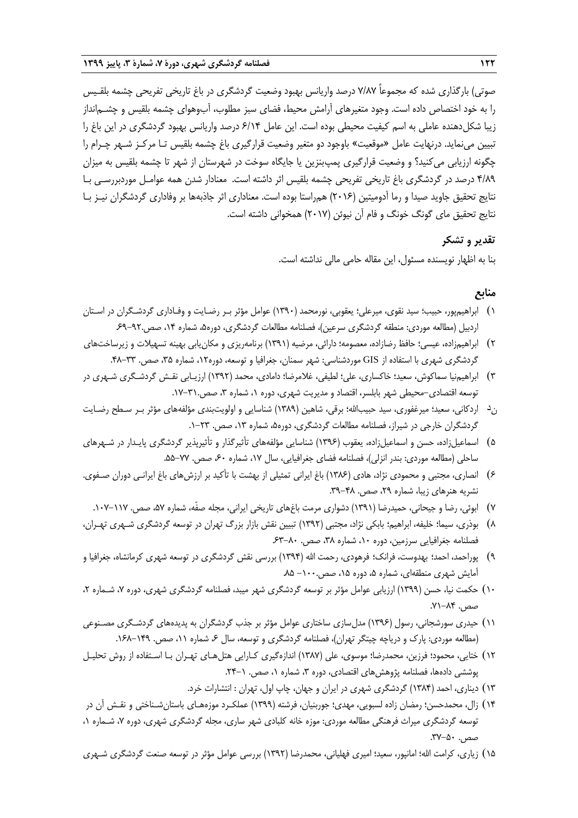صوتی) بارگذاری شده که مجموعاً ۷/۸۷ درصد واریانس بهبود وضعیت گردشگری در باغ تاریخی تفریحی چشمه بلقـیس را به خود اختصاص داده است. وجود متغیرهای آرامش محیط، فضای سبز مطلوب، آبوهوای چشمه بلقیس و چشــم|نداز زیبا شکلدهنده عاملی به اسم کیفیت محیطی بوده است. این عامل 6/14 درصد واریانس بهبود گردشگری در این باغ را تبیین مینماید. درنهایت عامل »موقعیت« باوجود دو متغیر وضعیت قرارگیری باغ چشمه بلقیس تـا مرکـز شـهر چـرام را چگونه ارزیابی میکنید؟ و وضعیت قرارگیری پمپبنزین یا جایگاه سوخت در شهرستان از شهر تا چشمه بلقیس به میزان 4/89 درصد در گردشگری باغ تاریخی تفریحی چشمه بلقیس اثر داشته است. معنادار شدن همه عوامـل موردبررسـی بـا نتایج تحقیق جاوید صیدا و رما آدومیتین )2016( همراستا بوده است. معناداری اثر جاذبهها بر وفاداری گردشگران نیـز بـا نتایج تحقیق مای گونگ خونگ و فام آن نیوئن )2017( همخوانی داشته است.

## **تقدیر و تشکر**

بنا به اظهار نویسنده مسئول، این مقاله حامی مالی نداشته است.

# **منابع**

- 1( ابراهیمپور، حبیب؛ سید نقوی، میرعلی؛ یعقوبی، نورمحمد )1390( عوامل مؤثر بـر رضـایت و وفـاداری گردشـگران در اسـتان اردبیل )مطالعه موردی: منطقه گردشگری سرعین(، فصلنامه مطالعات گردشگری، دوره،5 شماره ،14 صص.69-92.
- ۲) ابراهیمزاده، عیسی؛ حافظ رضازاده، معصومه؛ دارائی، مرضیه (۱۳۹۱) برنامهریزی و مکان یابی بهینه تسهیلات و زیرساختهای گردشگری شهری با استفاده از GIS موردشناسی: شهر سمنان، جغرافیا و توسعه، دوره۱۲، شماره ۳۵، صص. ۳۳–۴۸.
- 3( ابراهیمنیا سماکوش، سعید؛ خاکساری، علی؛ لطیفی، غالمرضا؛ دامادی، محمد )1392( ارزیـابی نقـش گردشـگری شـهری در توسعه اقتصادی-محیطی شهر بابلسر، اقتصاد و مدیریت شهری، دوره ۱، شماره ۳، صص.۳۱-۱۷.
- ند اردکانی، سعید؛ میرغفوری، سید حبیباهلل؛ برقی، شاهین )1389( شناسایی و اولویتبندی مؤلفههای مؤثر بـر سـطح رضـایت گردشگران خارجی در شیراز، فصلنامه مطالعات گردشگری، دوره۵، شماره ۱۳، صص. ۲۳-۱.
- 5( اسماعیلزاده، حسن و اسماعیلزاده، یعقوب )1396( شناسایی مؤلفههای تأثیرگذار و تأثیرپذیر گردشگری پایـدار در شـهرهای ساحلی (مطالعه موردی: بندر انزلی)، فصلنامه فضای جغرافیایی، سال ۱۷، شماره ۶۰ صص. ۷۷–۵۵.
- 6( انصاری، مجتبی و محمودی نژاد، هادی )1386( باغ ایرانی تمثیلی از بهشت با تأکید بر ارزشهای باغ ایرانـی دوران صـفوی. نشریه هنرهای زیبا، شماره ۲۹، صص. ۴۸-۳۹.
	- 7( ابوئی، رضا و جیحانی، حمیدرضا )1391( دشواری مرمت باغهای تاریخی ایرانی، مجله صفّه، شماره ،57 صص. .107-117
- 8( بوذری، سیما؛ خلیفه، ابراهیم؛ بابکی نژاد، مجتبی )1392( تبیین نقش بازار بزرر تهران در توسعه گردشگری شـهری تهـران، فصلنامه جغرافیایی سرزمین، دوره ،10 شماره ،38 صص. .63-80
- 9( پوراحمد، احمد؛ بهدوست، فرانک؛ فرهودی، رحمت اهلل )1394( بررسی نقش گردشگری در توسعه شهری کرمانشاه، جغرافیا و آمایش شهری منطقهای، شماره ۵، دوره ۱۵، صص۲۰۰۰– ۸۵.
- ۱۰) حکمت نیا، حسن (۱۳۹۹) ارزیابی عوامل مؤثر بر توسعه گردشگری شهر میبد، فصلنامه گردشگری شهری، دوره ۷، شـماره ۲، صص. ۸۴–۷۱.
- 11( حیدری سورشجانی، رسول )1396( مدلسازی ساختاری عوامل مؤثر بر جذب گردشگران به پدیدههای گردشـگری مصـنوعی (مطالعه موردی: پارک و دریاچه چیتگر تهران)، فصلنامه گردشگری و توسعه، سال ۶، شماره ۱۱، صص. ۱۴۹–۱۶۸.
- ١٢) ختایی، محمود؛ فرزین، محمدرضا؛ موسوی، علی (١٣٨٧) اندازهگیری کـارایی هتلهـای تهـران بـا اسـتفاده از روش تحلیـل پوششی دادهها، فصلنامه پژوهشهای اقتصادی، دوره ۳، شماره ۰، صص. ۰-۲۴.
	- 13( دیناری، احمد )1384( گردشگری شهری در ایران و جهان، چاپ اول، تهران : انتشارات خرد.
- ۱۴) زال، محمدحسن؛ رمضان زاده لسبویی، مهدی؛ جوربنیان، فرشته (۱۳۹۹) عملکـرد موزههـای باستانشـناختی و نقـش آن در توسعه گردشگری میراث فرهنگی مطالعه موردی: موزه خانه کلبادی شهر ساری، مجله گردشگری شهری، دوره ۷، شـماره ۰، صص. ۵۰-۳۷.
- ۱۵) زیاری، کرامت الله؛ امانپور، سعید؛ امیری فهلیانی، محمدرضا (۱۳۹۲) بررسی عوامل مؤثر در توسعه صنعت گردشگری شـهری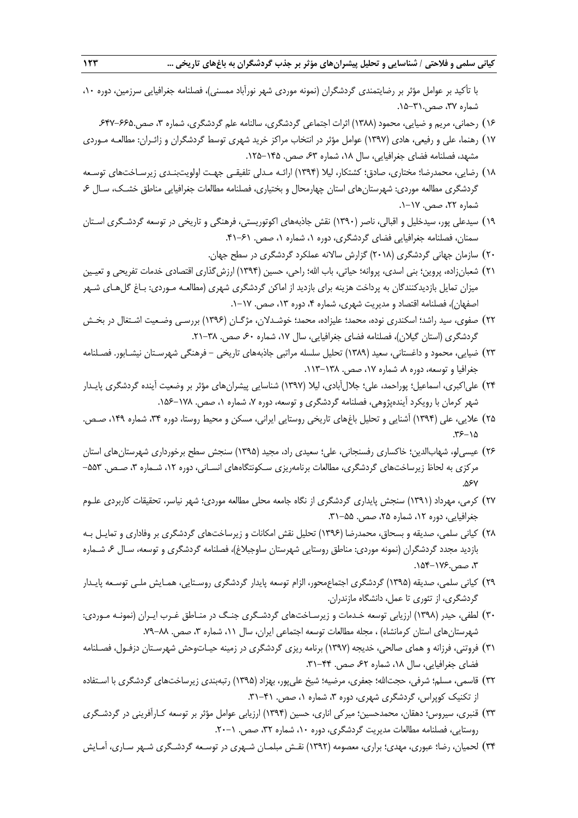با تأکید بر عوامل مؤثر بر رضایتمندی گردشگران (نمونه موردی شهر نورآباد ممسنی)، فصلنامه جغرافیایی سرزمین، دوره ۱۰، شماره ،37 صص.15-31.

- ۱۶) رحمانی، مریم و ضیایی، محمود (۱۳۸۸) اثرات اجتماعی گردشگری، سالنامه علم گردشگری، شماره ۳، صص.۶۶۵-۶۴۷
- ۱۷) رهنما، علی و رفیعی، هادی (۱۳۹۷) عوامل مؤثر در انتخاب مراکز خرید شهری توسط گردشگران و زائـران: مطالعـه مـوردی مشهد، فصلنامه فضای جغرافیایی، سال ۱۸، شماره ۶۳ صص. ۱۴۵–۱۲۵.
- 18( رضایی، محمدرضا؛ مختاری، صادق؛ کشتکار، لیال )1394( ارائـه مـدلی تلفیقـی جهـت اولویتبنـدی زیرسـاختهای توسـعه گردشگری مطالعه موردی: شهرستانهای استان چهارمحال و بختیاری، فصلنامه مطالعات جغرافیایی مناطق خشـک، سـال ۶، شماره ۲۲، صص. ۱۷–۱.
- 19( سیدعلی پور، سیدخلیل و اقبالی، ناصر )1390( نقش جاذبههای اکوتوریستی، فرهنگی و تاریخی در توسعه گردشـگری اسـتان سمنان، فصلنامه جغرافیایی فضای گردشگری، دوره ۱، شماره ۱، صص. ۶۱-۴۱.
	- ۲۰) سازمان جهانی گردشگری (۲۰۱۸) گزارش سالانه عملکرد گردشگری در سطح جهان.
- ٢١) شعبانزاده، پروین؛ بنی اسدی، پروانه؛ حیاتی، باب الله؛ راحی، حسین (١٣٩۴) ارزشگذاری اقتصادی خدمات تفریحی و تعیـین میزان تمایل بازدیدکنندگان به پرداخت هزینه برای بازدید از اماکن گردشگری شهری )مطالعـه مـوردی: بـاغ گلهـای شـهر اصفهان)، فصلنامه اقتصاد و مدیریت شهری، شماره ۴، دوره ۱۳، صص. ۱۷-۱.
- 22( صفوی، سید راشد؛ اسکندری نوده، محمد؛ علیزاده، محمد؛ خوشـدالن، مژگـان )1396( بررسـی وضـعیت اشـتغال در بخـش گردشگری (استان گیلان)، فصلنامه فضای جغرافیایی، سال ۱۷، شماره ۶۰ صص. ۳۸-۲۱.
- 23( ضیایی، محمود و داغستانی، سعید )1389( تحلیل سلسله مراتبی جاذبههای تاریخی فرهنگی شهرسـتان نیشـابور. فصـلنامه جغرافیا و توسعه، دوره ۸، شماره ۱۷، صص. ۱۳۸–۱۱۳.
- ۲۴) علیاکبری، اسماعیل؛ پوراحمد، علی؛ جلالآبادی، لیلا (۱۳۹۷) شناسایی پیشرانهای مؤثر بر وضعیت آینده گردشگری پایـدار شهر کرمان با رویکرد آیندهپژوهی، فصلنامه گردشگری و توسعه، دوره ۷، شماره ۱، صص. ۱۷۸–۱۵۶.
- ۲۵) علایی، علی (۱۳۹۴) آشنایی و تحلیل باغهای تاریخی روستایی ایرانی، مسکن و محیط روستا، دوره ۳۴، شماره ۱۴۹، صـص.  $.55 - 10$
- ۲۶) عیسی لو، شهابالدین؛ خاکساری رفسنجانی، علی؛ سعیدی راد، مجید (۱۳۹۵) سنجش سطح برخورداری شهرستان های استان مرکزی به لحاظ زیرساختهای گردشگری، مطالعات برنامهریزی سـکونتگاههای انسـانی، دوره ۱۲، شـماره ۳، صـص. ۵۵۳-.567
- 27( کرمی، مهرداد )1391( سنجش پایداری گردشگری از نگاه جامعه محلی مطالعه موردی؛ شهر نیاسر، تحقیقات کاربردی علـوم جغرافیایی، دوره ۱۲، شماره ۲۵، صص. ۵۵–۳۱.
- 28( کیانی سلمی، صدیقه و بسحاق، محمدرضا )1396( تحلیل نقش امکانات و زیرساختهای گردشگری بر وفاداری و تمایـل بـه بازدید مجدد گردشگران (نمونه موردی: مناطق روستایی شهرستان ساوجبلاغ)، فصلنامه گردشگری و توسعه، سـال ۶ شـماره ،3 صص.154-176.
- 29( کیانی سلمی، صدیقه )1395( گردشگری اجتماعمحور، الزام توسعه پایدار گردشگری روسـتایی، همـایش ملـی توسـعه پایـدار گردشگری، از تئوری تا عمل، دانشگاه مازندران.
- ۳۰) لطفی، حیدر (۱۳۹۸) ارزیابی توسعه خـدمات و زیرسـاختـهای گردشـگری جنـگ در منـاطق غـرب ایـران (نمونـه مـوردی: شهرستانهای استان کرمانشاه) ، مجله مطالعات توسعه اجتماعی ایران، سال ۱۱، شماره ۳، صص. ٨٨–٧٩.
- 31( فروتنی، فرزانه و همای صالحی، خدیجه )1397( برنامه ریزی گردشگری در زمینه حیـاتوحش شهرسـتان دزفـول، فصـلنامه فضای جغرافیایی، سال ۱۸، شماره ۶۲ صص. ۴۴–۳۱.
- ۳۲) قاسمی، مسلم؛ شرفی، حجتالله؛ جعفری، مرضیه؛ شیخ علیپور، بهزاد (۱۳۹۵) رتبهبندی زیرساختهای گردشگری با اسـتفاده از تکنیک کوپراس، گردشگری شهری، دوره ۳، شماره ۰، صص. ۴۱-۳۱.
- 33( قنبری، سیروس؛ دهقان، محمدحسین؛ میرکی اناری، حسین )1394( ارزیابی عوامل مؤثر بر توسعه کـارآفرینی در گردشـگری روستایی، فصلنامه مطالعات مدیریت گردشگری، دوره ۱۰، شماره ۳۲، صص. ۱-۲۰.
- 34( لحمیان، رضا؛ عبوری، مهدی؛ براری، معصومه )1392( نقـش مبلمـان شـهری در توسـعه گردشـگری شـهر سـاری، آمـایش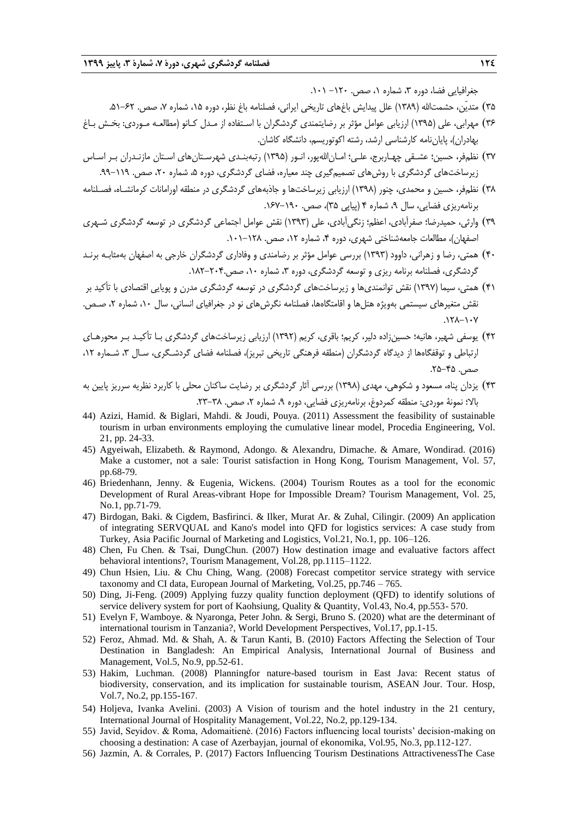جغرافیایی فضا، دوره ۳، شماره ۱، صص. ۱۲۰– ۰۱۰۱.

- ۳۵) متدیّن، حشمتالله (۱۳۸۹) علل پیدایش باغهای تاریخی ایرانی، فصلنامه باغ نظر، دوره ۱۵، شماره ۷، صص. ۶۲–۵۱.
- 36( مهرابی، علی )1395( ارزیابی عوامل مؤثر بر رضایتمندی گردشگران با اسـتفاده از مـدل کـانو )مطالعـه مـوردی: بخـش بـاغ بهادران)، پایاننامه کارشناسی ارشد، رشته اکوتوریسم، دانشگاه کاشان.
- ٣٧) نظمفر، حسین؛ عشـقی چهـاربرج، علـی؛ امـان|للهپور، انـور (١٣٩۵) رتبهبنـدی شهرسـتانهای اسـتان مازنـدران بـر اسـاس زیرساختهای گردشگری با روش های تصمیمگیری چند معیاره، فضای گردشگری، دوره ۵، شماره ۲۰، صص. ۱۱۹–۹۹.
- 38( نظمفر، حسین و محمدی، چنور )1398( ارزیابی زیرساختها و جاذبههای گردشگری در منطقه اورامانات کرمانشـاه، فصـلنامه برنامهریزی فضایی، سال ۹، شماره ۴ (پیاپی ۳۵)، صص. ۱۶۰–۱۶۷.
- 39( وارثی، حمیدرضا؛ صفرآبادی، اعظم؛ زنگیآبادی، علی )1393( نقش عوامل اجتماعی گردشگری در توسعه گردشگری شـهری اصفهان)، مطالعات جامعهشناختی شهری، دوره ۴، شماره ۱۲، صص. ۱۲۸–۱۰۱.
- 40( همتی، رضا و زهرانی، داوود )1393( بررسی عوامل مؤثر بر رضامندی و وفاداری گردشگران خارجی به اصفهان بهمثابـه برنـد گردشگری، فصلنامه برنامه ریزی و توسعه گردشگری، دوره ۳، شماره ۱۰، صص ۲۰۴۰-۱۸۲.
- 41( همتی، سیما )1397( نقش توانمندیها و زیرساختهای گردشگری در توسعه گردشگری مدرن و پویایی اقتصادی با تأکید بر نقش متغیرهای سیستمی بهویژه هتلها و اقامتگاهها، فصلنامه نگرشهای نو در جغرافیای انسانی، سال ،10 شماره ،2 صـص.  $.17A-1.7$
- 42( یوسفی شهیر، هانیه؛ حسینزاده دلیر، کریم؛ باقری، کریم )1392( ارزیابی زیرساختهای گردشگری بـا تأکیـد بـر محورهـای ارتباطی و توقفگاهها از دیدگاه گردشگران (منطقه فرهنگی تاریخی تبریز)، فصلنامه فضای گردشـگری، سـال ۳، شـماره ۱۲، صص. ۴۵-۲۵.
- 43( یزدان پناه، مسعود و شکوهی، مهدی )1398( بررسی آثار گردشگری بر رضایت ساکنان محلی با کاربرد نظریه سرریز پایین به بالا؛ نمونۀ موردی: منطقه کمردوغ، برنامهریزی فضایی، دوره ۹، شماره ۲، صص. ۳۸-۲۳.
- 44) Azizi, Hamid. & Biglari, Mahdi. & Joudi, Pouya. (2011) Assessment the feasibility of sustainable tourism in urban environments employing the cumulative linear model, Procedia Engineering, Vol. 21, pp. 24-33.
- 45) Agyeiwah, Elizabeth. & Raymond, Adongo. & Alexandru, Dimache. & Amare, Wondirad. (2016) Make a customer, not a sale: Tourist satisfaction in Hong Kong, Tourism Management, Vol. 57, pp.68-79.
- 46) Briedenhann, Jenny. & Eugenia, Wickens. (2004) Tourism Routes as a tool for the economic Development of Rural Areas-vibrant Hope for Impossible Dream? Tourism Management, Vol. 25, No.1, pp.71-79.
- 47) Birdogan, Baki. & Cigdem, Basfirinci. & Ilker, Murat Ar. & Zuhal, Cilingir. (2009) An application of integrating SERVQUAL and Kano's model into QFD for logistics services: A case study from Turkey, Asia Pacific Journal of Marketing and Logistics, Vol.21, No.1, pp. 106–126.
- 48) Chen, Fu Chen. & Tsai, DungChun. (2007) How destination image and evaluative factors affect behavioral intentions?, Tourism Management, Vol.28, pp.1115–1122.
- 49) Chun Hsien, Liu. & Chu Ching, Wang. (2008) Forecast competitor service strategy with service taxonomy and CI data, European Journal of Marketing, Vol.25, pp.746 – 765.
- 50) Ding, Ji-Feng. (2009) Applying fuzzy quality function deployment (QFD) to identify solutions of service delivery system for port of Kaohsiung, Quality & Quantity, Vol.43, No.4, pp.553- 570.
- 51) Evelyn F, Wamboye. & Nyaronga, Peter John. & Sergi, Bruno S. (2020) what are the determinant of international tourism in Tanzania?, World Development Perspectives, Vol.17, pp.1-15.
- 52) Feroz, Ahmad. Md. & Shah, A. & Tarun Kanti, B. (2010) Factors Affecting the Selection of Tour Destination in Bangladesh: An Empirical Analysis, International Journal of Business and Management, Vol.5, No.9, pp.52-61.
- 53) Hakim, Luchman. (2008) Planningfor nature-based tourism in East Java: Recent status of biodiversity, conservation, and its implication for sustainable tourism, ASEAN Jour. Tour. Hosp, Vol.7, No.2, pp.155-167.
- 54) Holjeva, Ivanka Avelini. (2003) A Vision of tourism and the hotel industry in the 21 century, International Journal of Hospitality Management, Vol.22, No.2, pp.129-134.
- 55) Javid, Seyidov. & Roma, Adomaitienė. (2016) Factors influencing local tourists' decision-making on choosing a destination: A case of Azerbayjan, journal of ekonomika, Vol.95, No.3, pp.112-127.
- 56) Jazmin, A. & Corrales, P. (2017) Factors Influencing Tourism Destinations AttractivenessThe Case